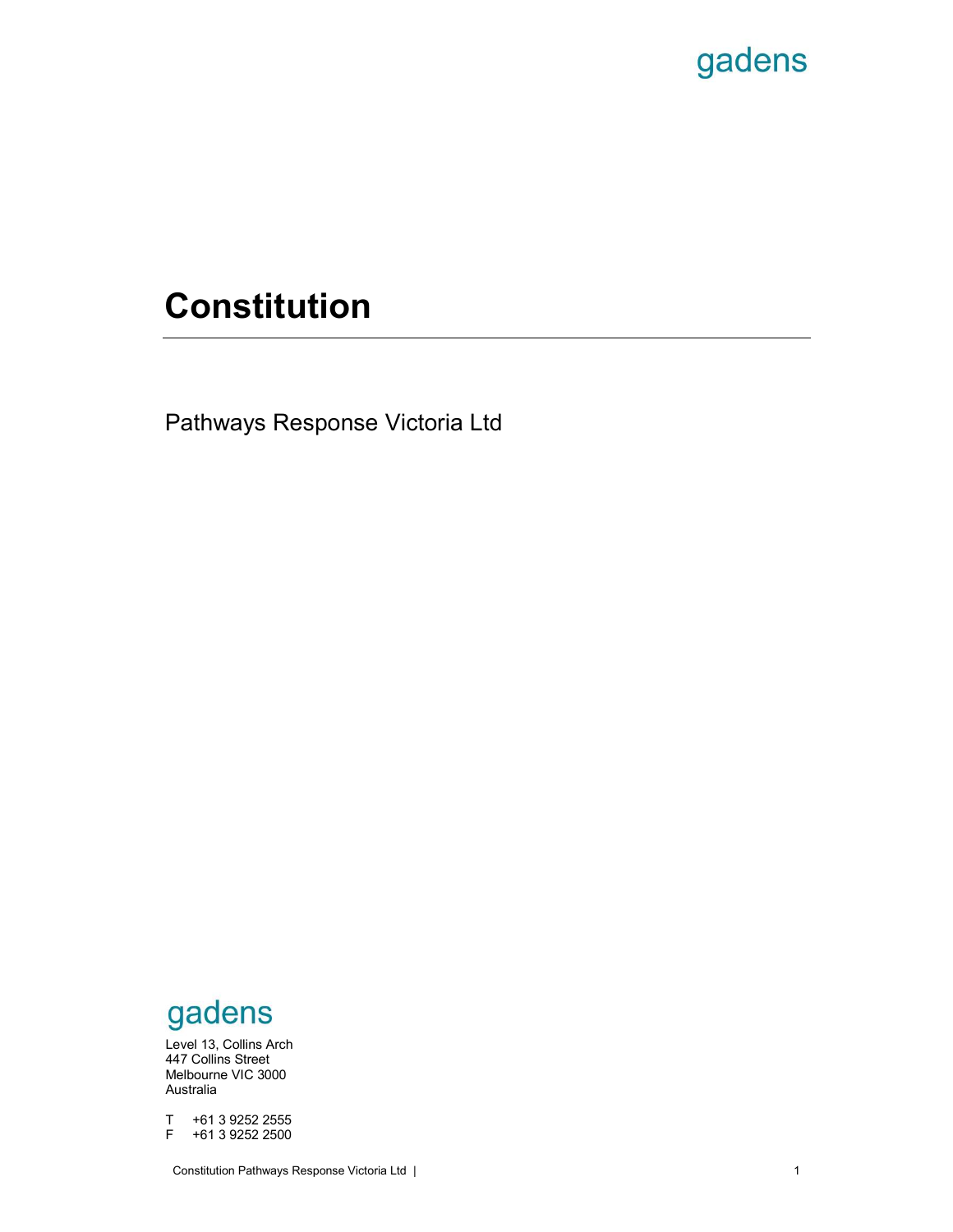# Constitution

gadens<br>
Constitution<br>
Pathways Response Victoria Ltd

447 Collins Street **Algebra 25, Bourke Place Place Place Place Place Place Place Place Place Place Place Place Place Place Place Place Place Place Place Place Place Place Place Place Place Place Place Place Place Place Pla** Melbourne VIC 3000 Australia and Australia and Australia and Australia and Australia and Australia and Australia and Australia an **GAGETS**<br>
Elevel 13, Collins Arch<br>
A47 Collins Street<br>
Melbourne VIC 3000<br>
Australia<br>
T +61 3 9252 2555<br>
F +61 3 9252 2500<br>
Constitution Pathways Response Victoria Ltd **GACENS**<br>
Level 13, Collins Arch<br>
447 Collins Street<br>
Matchaline VIC 3000<br>
Australia<br>
T +61 3 9252 2555<br>
F +61 3 9252 2500<br>
Constitution Pathways Response Victoria Ltd Level 13, Collins Arch gadens<br>Level 13, Collins Arch<br>Melbourne VIC 3000<br>Melbourne VIC 3000<br>Australia<br>T +61 3 9252 2555<br>F +61 3 9252 2500<br>Constitution Pathways Response Victoria Ltd | **GAGETS**<br>Figure 1.3, Collins Arch<br>Level 13, Collins Street<br>Melbourne VIC 3000<br>The 13 9252 2555<br>Figure 161 39252 2500<br>Constitution Pathways Response Victoria Ltd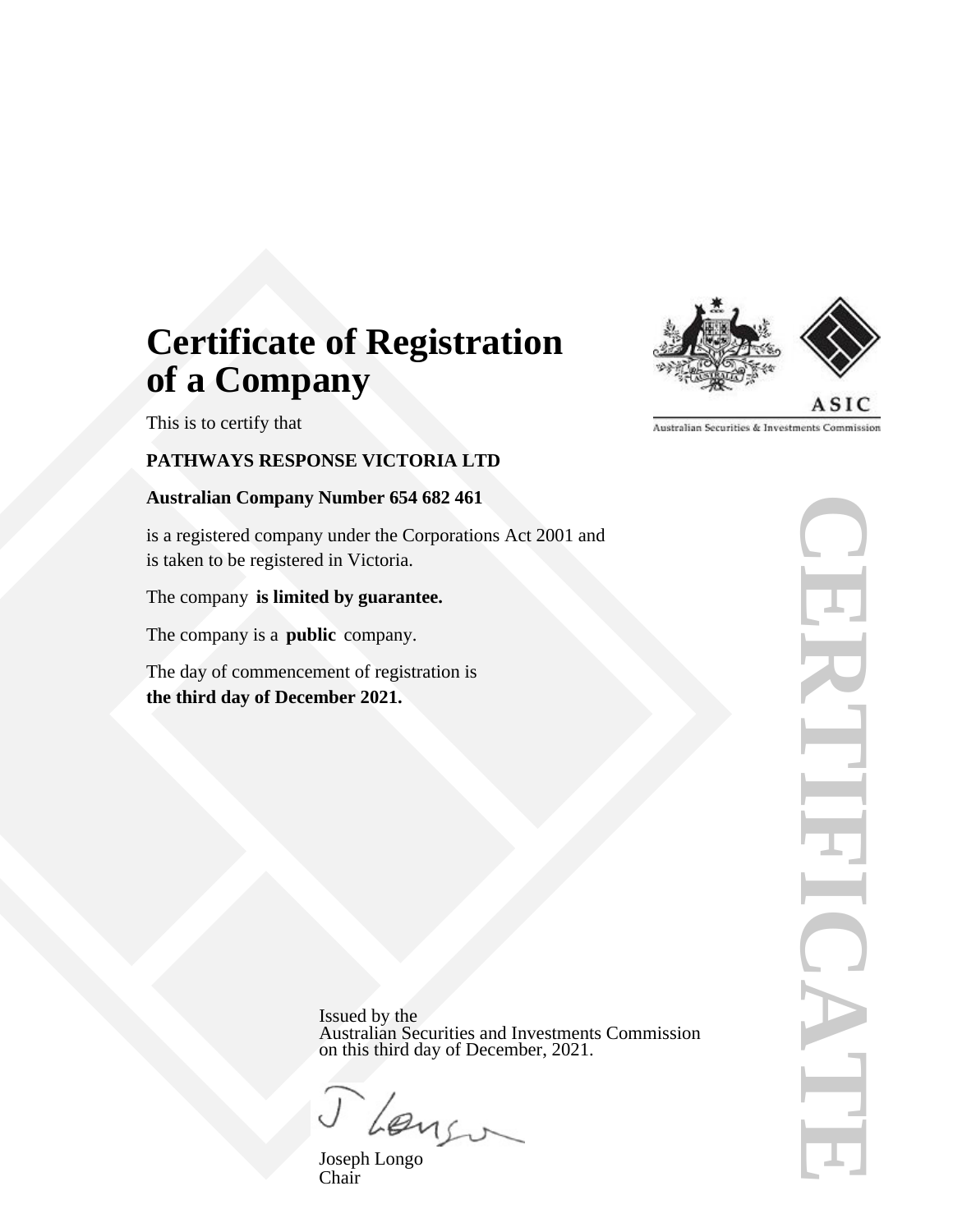# **Certificate of Registration of a Company**

This is to certify that

# **PATHWAYS RESPONSE VICTORIA LTD**

# **Australian Company Number 654 682 461**

is a registered company under the Corporations Act 2001 and is taken to be registered in Victoria.

# The company **is limited by guarantee.**

The company is a **public** company.

The day of commencement of registration is **the third day of December 2021.**



**CERTIFICATE FIRENT CATE** 

Issued by the Australian Securities and Investments Commission on this third day of December, 2021.

1 Lengo

Joseph Longo Chair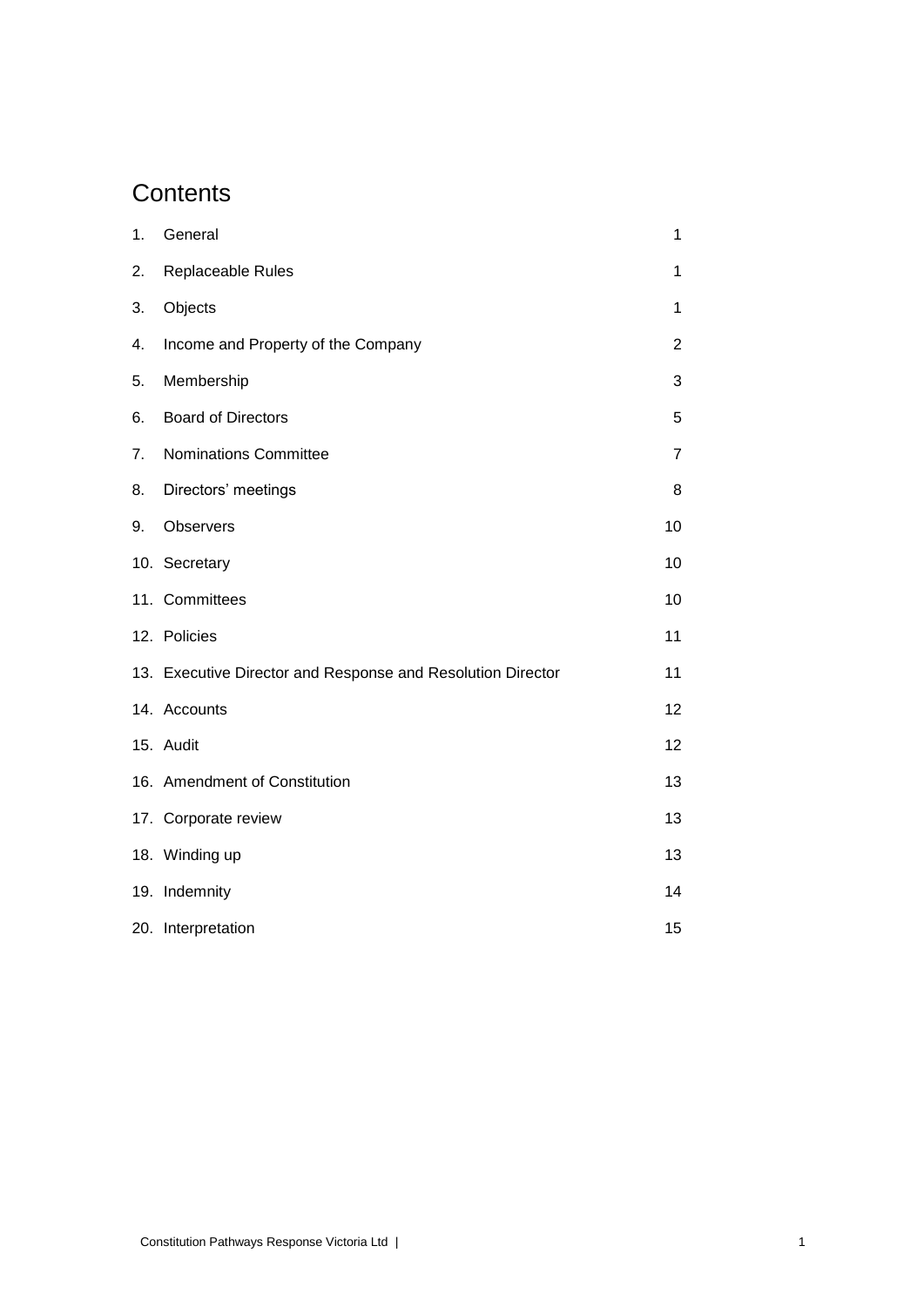# **Contents**

| 1. | General                                                     | 1              |
|----|-------------------------------------------------------------|----------------|
| 2. | Replaceable Rules                                           | 1              |
| 3. | Objects                                                     | 1              |
| 4. | Income and Property of the Company                          | 2              |
| 5. | Membership                                                  | 3              |
| 6. | <b>Board of Directors</b>                                   | 5              |
| 7. | <b>Nominations Committee</b>                                | $\overline{7}$ |
| 8. | Directors' meetings                                         | 8              |
| 9. | Observers                                                   | 10             |
|    | 10. Secretary                                               | 10             |
|    | 11. Committees                                              | 10             |
|    | 12. Policies                                                | 11             |
|    | 13. Executive Director and Response and Resolution Director | 11             |
|    | 14. Accounts                                                | 12             |
|    | 15. Audit                                                   | 12             |
|    | 16. Amendment of Constitution                               | 13             |
|    | 17. Corporate review                                        | 13             |
|    | 18. Winding up                                              | 13             |
|    | 19. Indemnity                                               | 14             |
|    | 20. Interpretation                                          | 15             |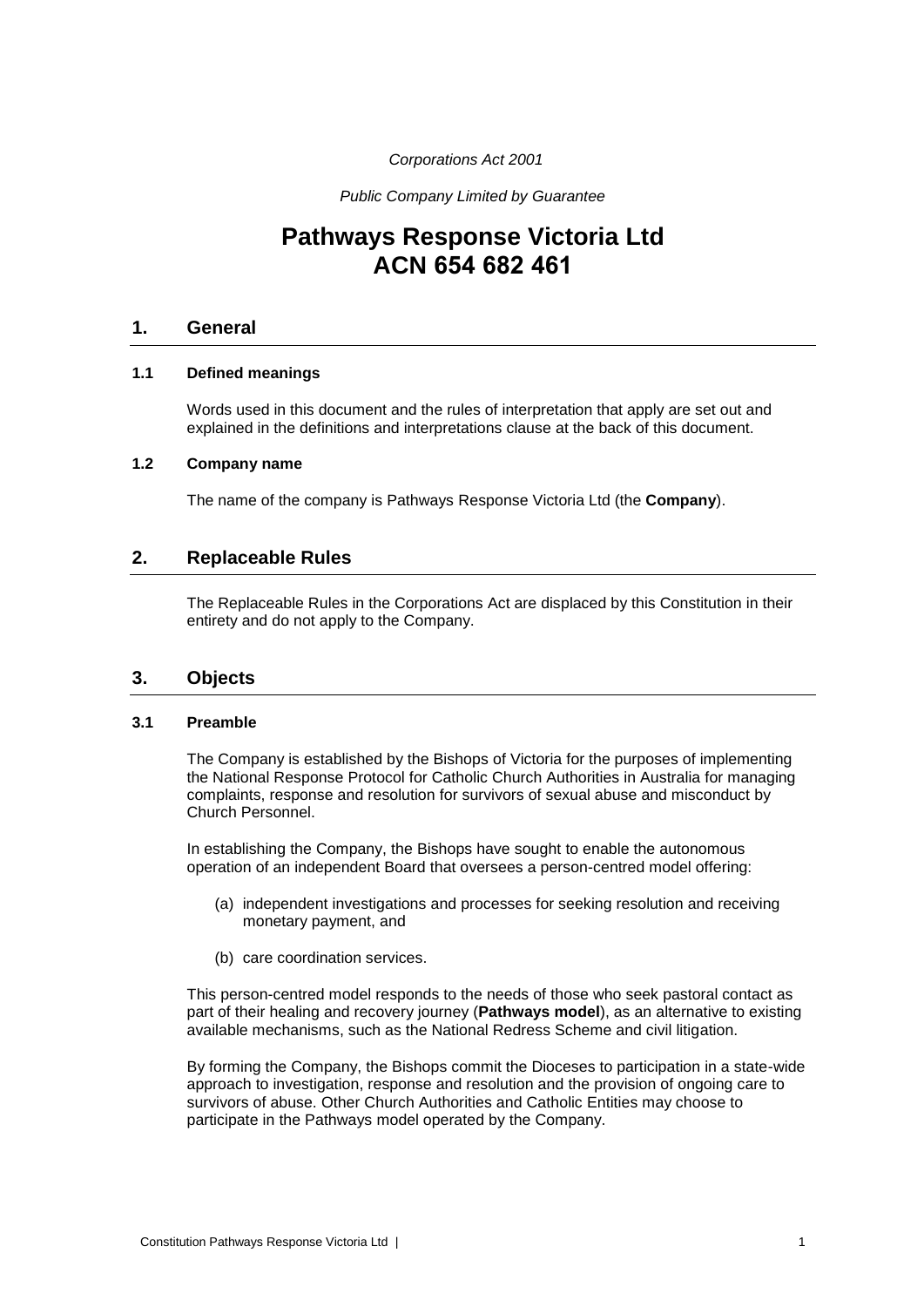# *Corporations Act 2001*

*Public Company Limited by Guarantee*

# **Pathways Response Victoria Ltd ACN 654 682 461**

# **1. General**

# **1.1 Defined meanings**

Words used in this document and the rules of interpretation that apply are set out and explained in the definitions and interpretations clause at the back of this document.

# **1.2 Company name**

The name of the company is Pathways Response Victoria Ltd (the **Company**).

# **2. Replaceable Rules**

The Replaceable Rules in the Corporations Act are displaced by this Constitution in their entirety and do not apply to the Company.

# **3. Objects**

# **3.1 Preamble**

The Company is established by the Bishops of Victoria for the purposes of implementing the National Response Protocol for Catholic Church Authorities in Australia for managing complaints, response and resolution for survivors of sexual abuse and misconduct by Church Personnel.

In establishing the Company, the Bishops have sought to enable the autonomous operation of an independent Board that oversees a person-centred model offering:

- (a) independent investigations and processes for seeking resolution and receiving monetary payment, and
- (b) care coordination services.

This person-centred model responds to the needs of those who seek pastoral contact as part of their healing and recovery journey (**Pathways model**), as an alternative to existing available mechanisms, such as the National Redress Scheme and civil litigation.

By forming the Company, the Bishops commit the Dioceses to participation in a state-wide approach to investigation, response and resolution and the provision of ongoing care to survivors of abuse. Other Church Authorities and Catholic Entities may choose to participate in the Pathways model operated by the Company.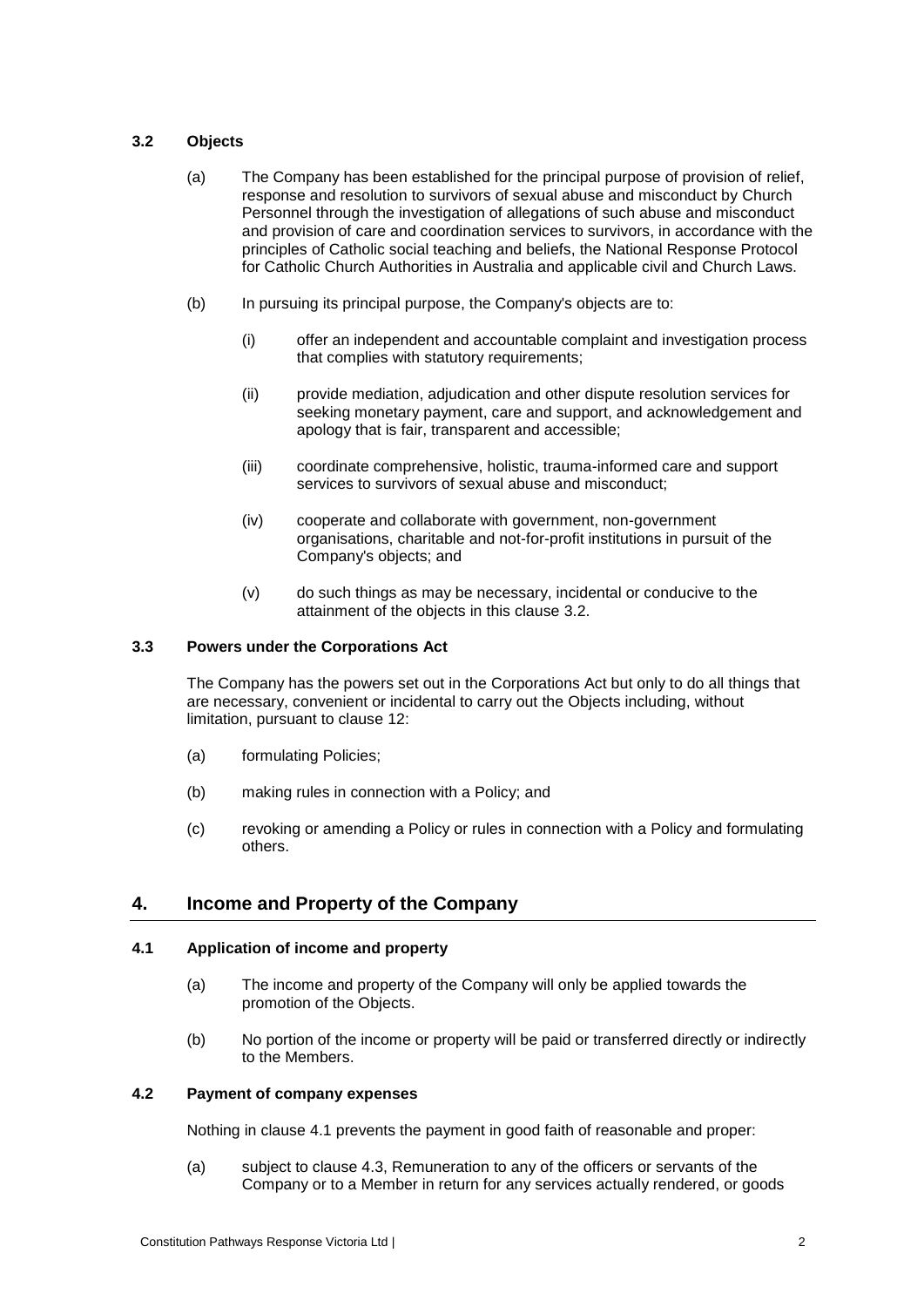# <span id="page-4-0"></span>**3.2 Objects**

- (a) The Company has been established for the principal purpose of provision of relief, response and resolution to survivors of sexual abuse and misconduct by Church Personnel through the investigation of allegations of such abuse and misconduct and provision of care and coordination services to survivors, in accordance with the principles of Catholic social teaching and beliefs, the National Response Protocol for Catholic Church Authorities in Australia and applicable civil and Church Laws.
- (b) In pursuing its principal purpose, the Company's objects are to:
	- (i) offer an independent and accountable complaint and investigation process that complies with statutory requirements;
	- (ii) provide mediation, adjudication and other dispute resolution services for seeking monetary payment, care and support, and acknowledgement and apology that is fair, transparent and accessible;
	- (iii) coordinate comprehensive, holistic, trauma-informed care and support services to survivors of sexual abuse and misconduct;
	- (iv) cooperate and collaborate with government, non-government organisations, charitable and not-for-profit institutions in pursuit of the Company's objects; and
	- (v) do such things as may be necessary, incidental or conducive to the attainment of the objects in this clause [3.2.](#page-4-0)

# **3.3 Powers under the Corporations Act**

The Company has the powers set out in the Corporations Act but only to do all things that are necessary, convenient or incidental to carry out the Objects including, without limitation, pursuant to clause [12:](#page-13-0)

- (a) formulating Policies;
- (b) making rules in connection with a Policy; and
- (c) revoking or amending a Policy or rules in connection with a Policy and formulating others.

# **4. Income and Property of the Company**

# <span id="page-4-1"></span>**4.1 Application of income and property**

- (a) The income and property of the Company will only be applied towards the promotion of the Objects.
- (b) No portion of the income or property will be paid or transferred directly or indirectly to the Members.

# **4.2 Payment of company expenses**

Nothing in clause [4.1](#page-4-1) prevents the payment in good faith of reasonable and proper:

(a) subject to clause [4.3,](#page-5-0) Remuneration to any of the officers or servants of the Company or to a Member in return for any services actually rendered, or goods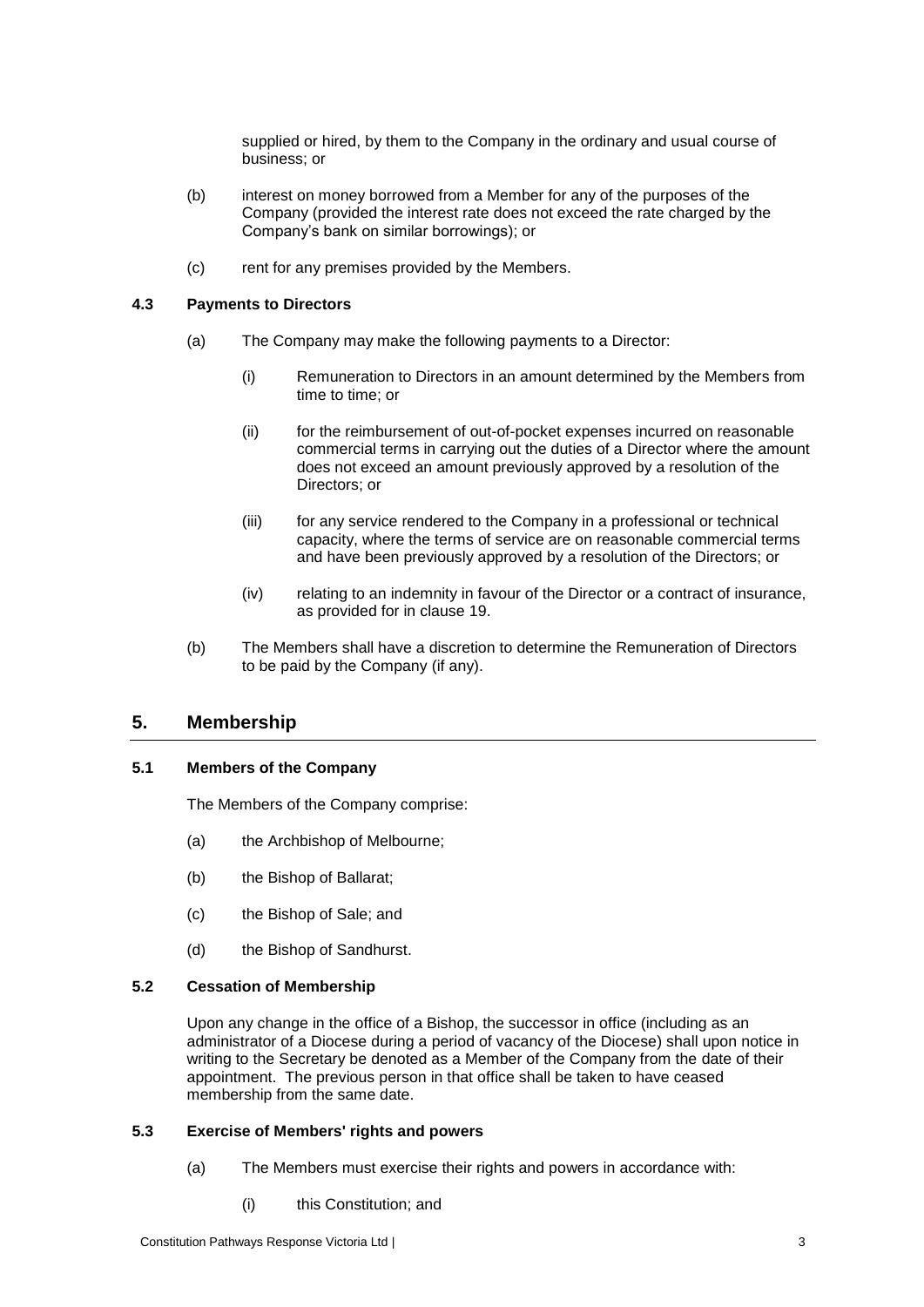supplied or hired, by them to the Company in the ordinary and usual course of business; or

- (b) interest on money borrowed from a Member for any of the purposes of the Company (provided the interest rate does not exceed the rate charged by the Company's bank on similar borrowings); or
- (c) rent for any premises provided by the Members.

# <span id="page-5-0"></span>**4.3 Payments to Directors**

- (a) The Company may make the following payments to a Director:
	- (i) Remuneration to Directors in an amount determined by the Members from time to time; or
	- (ii) for the reimbursement of out-of-pocket expenses incurred on reasonable commercial terms in carrying out the duties of a Director where the amount does not exceed an amount previously approved by a resolution of the Directors; or
	- (iii) for any service rendered to the Company in a professional or technical capacity, where the terms of service are on reasonable commercial terms and have been previously approved by a resolution of the Directors; or
	- (iv) relating to an indemnity in favour of the Director or a contract of insurance, as provided for in clause [19.](#page-16-0)
- (b) The Members shall have a discretion to determine the Remuneration of Directors to be paid by the Company (if any).

# **5. Membership**

# <span id="page-5-2"></span>**5.1 Members of the Company**

The Members of the Company comprise:

- (a) the Archbishop of Melbourne;
- (b) the Bishop of Ballarat;
- (c) the Bishop of Sale; and
- (d) the Bishop of Sandhurst.

# **5.2 Cessation of Membership**

Upon any change in the office of a Bishop, the successor in office (including as an administrator of a Diocese during a period of vacancy of the Diocese) shall upon notice in writing to the Secretary be denoted as a Member of the Company from the date of their appointment. The previous person in that office shall be taken to have ceased membership from the same date.

# <span id="page-5-1"></span>**5.3 Exercise of Members' rights and powers**

- (a) The Members must exercise their rights and powers in accordance with:
	- (i) this Constitution; and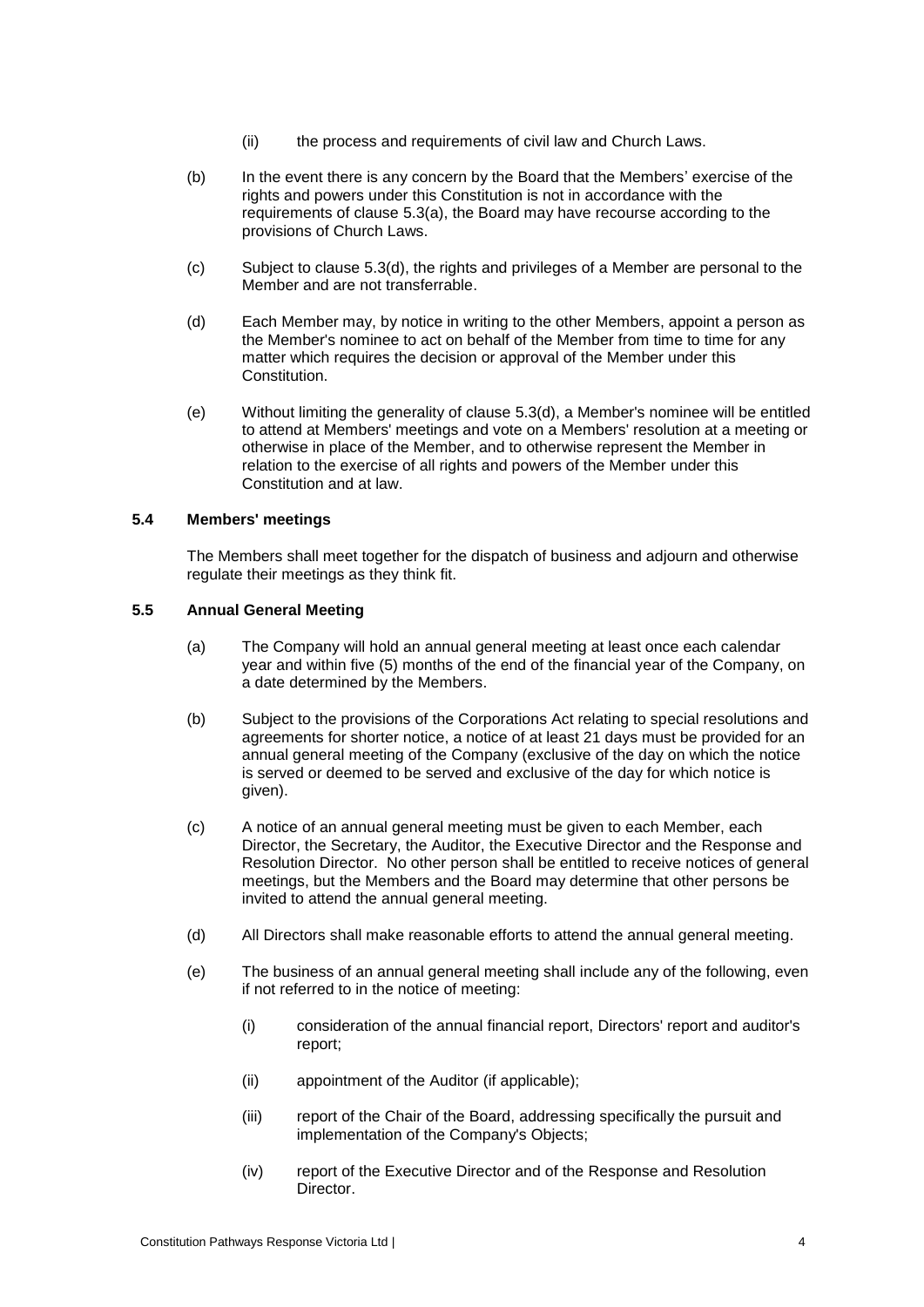- (ii) the process and requirements of civil law and Church Laws.
- (b) In the event there is any concern by the Board that the Members' exercise of the rights and powers under this Constitution is not in accordance with the requirements of clause [5.3\(a\),](#page-5-1) the Board may have recourse according to the provisions of Church Laws.
- (c) Subject to clause [5.3\(d\),](#page-6-0) the rights and privileges of a Member are personal to the Member and are not transferrable.
- <span id="page-6-0"></span>(d) Each Member may, by notice in writing to the other Members, appoint a person as the Member's nominee to act on behalf of the Member from time to time for any matter which requires the decision or approval of the Member under this Constitution.
- (e) Without limiting the generality of clause [5.3\(d\),](#page-6-0) a Member's nominee will be entitled to attend at Members' meetings and vote on a Members' resolution at a meeting or otherwise in place of the Member, and to otherwise represent the Member in relation to the exercise of all rights and powers of the Member under this Constitution and at law.

# **5.4 Members' meetings**

The Members shall meet together for the dispatch of business and adjourn and otherwise regulate their meetings as they think fit.

# **5.5 Annual General Meeting**

- (a) The Company will hold an annual general meeting at least once each calendar year and within five (5) months of the end of the financial year of the Company, on a date determined by the Members.
- (b) Subject to the provisions of the Corporations Act relating to special resolutions and agreements for shorter notice, a notice of at least 21 days must be provided for an annual general meeting of the Company (exclusive of the day on which the notice is served or deemed to be served and exclusive of the day for which notice is given).
- (c) A notice of an annual general meeting must be given to each Member, each Director, the Secretary, the Auditor, the Executive Director and the Response and Resolution Director. No other person shall be entitled to receive notices of general meetings, but the Members and the Board may determine that other persons be invited to attend the annual general meeting.
- (d) All Directors shall make reasonable efforts to attend the annual general meeting.
- (e) The business of an annual general meeting shall include any of the following, even if not referred to in the notice of meeting:
	- (i) consideration of the annual financial report, Directors' report and auditor's report;
	- (ii) appointment of the Auditor (if applicable);
	- (iii) report of the Chair of the Board, addressing specifically the pursuit and implementation of the Company's Objects;
	- (iv) report of the Executive Director and of the Response and Resolution Director.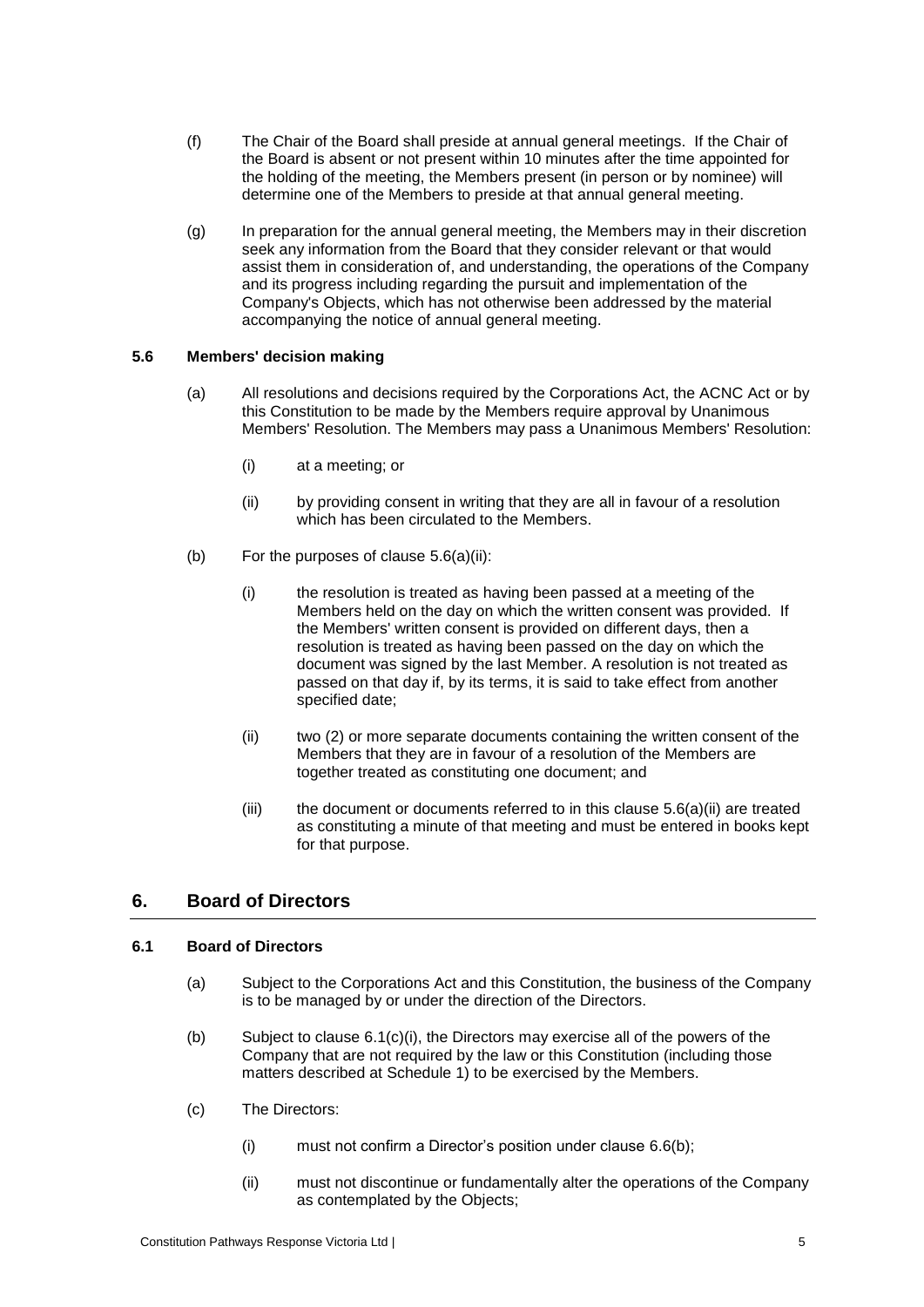- (f) The Chair of the Board shall preside at annual general meetings. If the Chair of the Board is absent or not present within 10 minutes after the time appointed for the holding of the meeting, the Members present (in person or by nominee) will determine one of the Members to preside at that annual general meeting.
- (g) In preparation for the annual general meeting, the Members may in their discretion seek any information from the Board that they consider relevant or that would assist them in consideration of, and understanding, the operations of the Company and its progress including regarding the pursuit and implementation of the Company's Objects, which has not otherwise been addressed by the material accompanying the notice of annual general meeting.

# **5.6 Members' decision making**

- (a) All resolutions and decisions required by the Corporations Act, the ACNC Act or by this Constitution to be made by the Members require approval by Unanimous Members' Resolution. The Members may pass a Unanimous Members' Resolution:
	- (i) at a meeting; or
	- (ii) by providing consent in writing that they are all in favour of a resolution which has been circulated to the Members.
- <span id="page-7-0"></span>(b) For the purposes of clause [5.6\(a\)\(ii\):](#page-7-0)
	- (i) the resolution is treated as having been passed at a meeting of the Members held on the day on which the written consent was provided. If the Members' written consent is provided on different days, then a resolution is treated as having been passed on the day on which the document was signed by the last Member. A resolution is not treated as passed on that day if, by its terms, it is said to take effect from another specified date;
	- (ii) two (2) or more separate documents containing the written consent of the Members that they are in favour of a resolution of the Members are together treated as constituting one document; and
	- (iii) the document or documents referred to in this clause  $5.6(a)(ii)$  are treated as constituting a minute of that meeting and must be entered in books kept for that purpose.

# **6. Board of Directors**

# **6.1 Board of Directors**

- (a) Subject to the Corporations Act and this Constitution, the business of the Company is to be managed by or under the direction of the Directors.
- (b) Subject to clause  $6.1(c)(i)$ , the Directors may exercise all of the powers of the Company that are not required by the law or this Constitution (including those matters described at [Schedule 1\)](#page-21-0) to be exercised by the Members.
- <span id="page-7-1"></span>(c) The Directors:
	- (i) must not confirm a Director's position under clause [6.6\(b\);](#page-9-0)
	- (ii) must not discontinue or fundamentally alter the operations of the Company as contemplated by the Objects;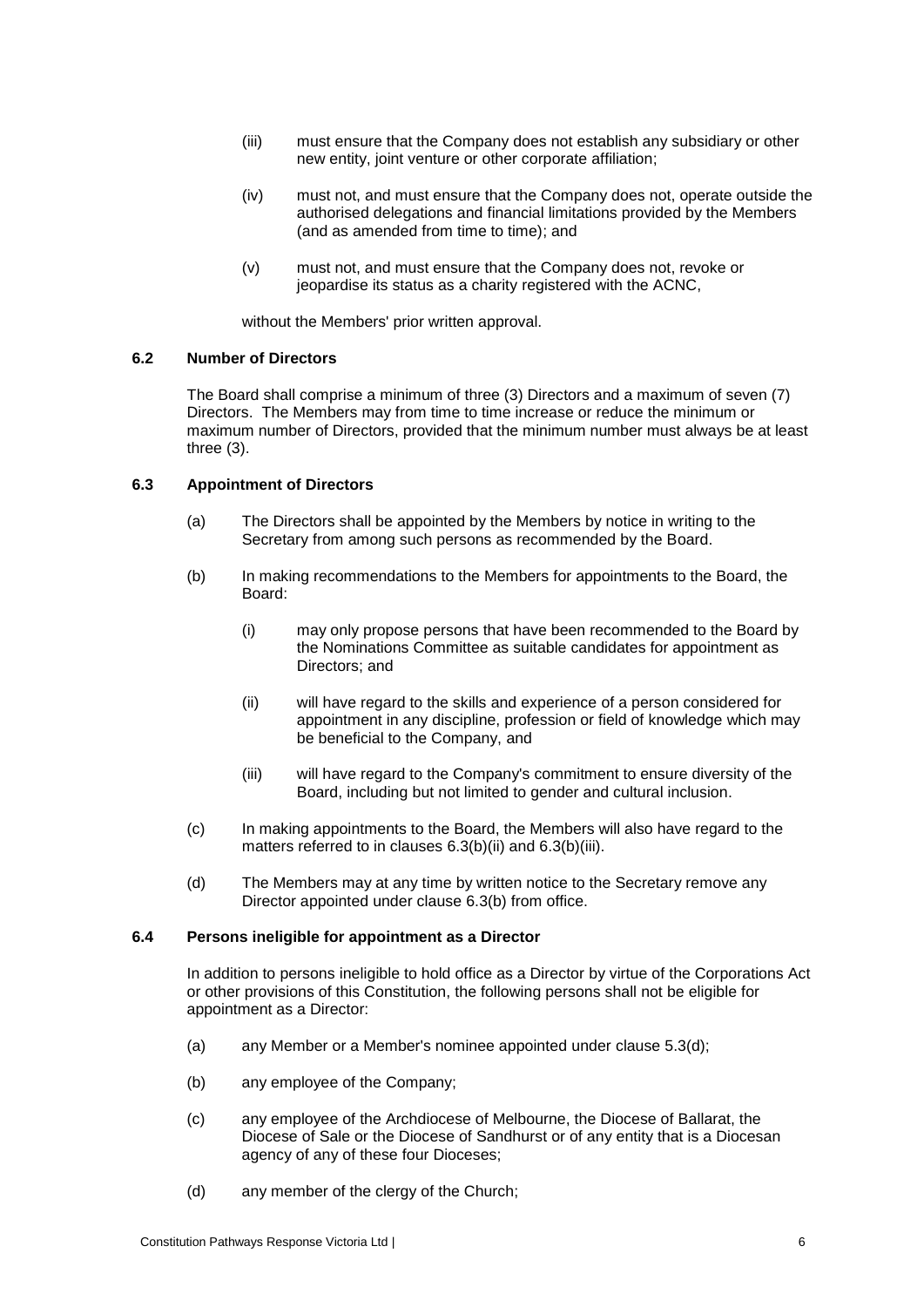- (iii) must ensure that the Company does not establish any subsidiary or other new entity, joint venture or other corporate affiliation;
- (iv) must not, and must ensure that the Company does not, operate outside the authorised delegations and financial limitations provided by the Members (and as amended from time to time); and
- (v) must not, and must ensure that the Company does not, revoke or jeopardise its status as a charity registered with the ACNC,

without the Members' prior written approval.

# <span id="page-8-5"></span>**6.2 Number of Directors**

The Board shall comprise a minimum of three (3) Directors and a maximum of seven (7) Directors. The Members may from time to time increase or reduce the minimum or maximum number of Directors, provided that the minimum number must always be at least three (3).

# <span id="page-8-6"></span>**6.3 Appointment of Directors**

- (a) The Directors shall be appointed by the Members by notice in writing to the Secretary from among such persons as recommended by the Board.
- <span id="page-8-2"></span><span id="page-8-0"></span>(b) In making recommendations to the Members for appointments to the Board, the Board:
	- (i) may only propose persons that have been recommended to the Board by the Nominations Committee as suitable candidates for appointment as Directors; and
	- (ii) will have regard to the skills and experience of a person considered for appointment in any discipline, profession or field of knowledge which may be beneficial to the Company, and
	- (iii) will have regard to the Company's commitment to ensure diversity of the Board, including but not limited to gender and cultural inclusion.
- <span id="page-8-1"></span>(c) In making appointments to the Board, the Members will also have regard to the matters referred to in clauses [6.3\(b\)\(ii\)](#page-8-0) and [6.3\(b\)\(iii\).](#page-8-1)
- (d) The Members may at any time by written notice to the Secretary remove any Director appointed under clause [6.3\(b\)](#page-8-2) from office.

# <span id="page-8-3"></span>**6.4 Persons ineligible for appointment as a Director**

In addition to persons ineligible to hold office as a Director by virtue of the Corporations Act or other provisions of this Constitution, the following persons shall not be eligible for appointment as a Director:

- <span id="page-8-4"></span>(a) any Member or a Member's nominee appointed under clause [5.3\(d\);](#page-6-0)
- (b) any employee of the Company;
- (c) any employee of the Archdiocese of Melbourne, the Diocese of Ballarat, the Diocese of Sale or the Diocese of Sandhurst or of any entity that is a Diocesan agency of any of these four Dioceses;
- (d) any member of the clergy of the Church;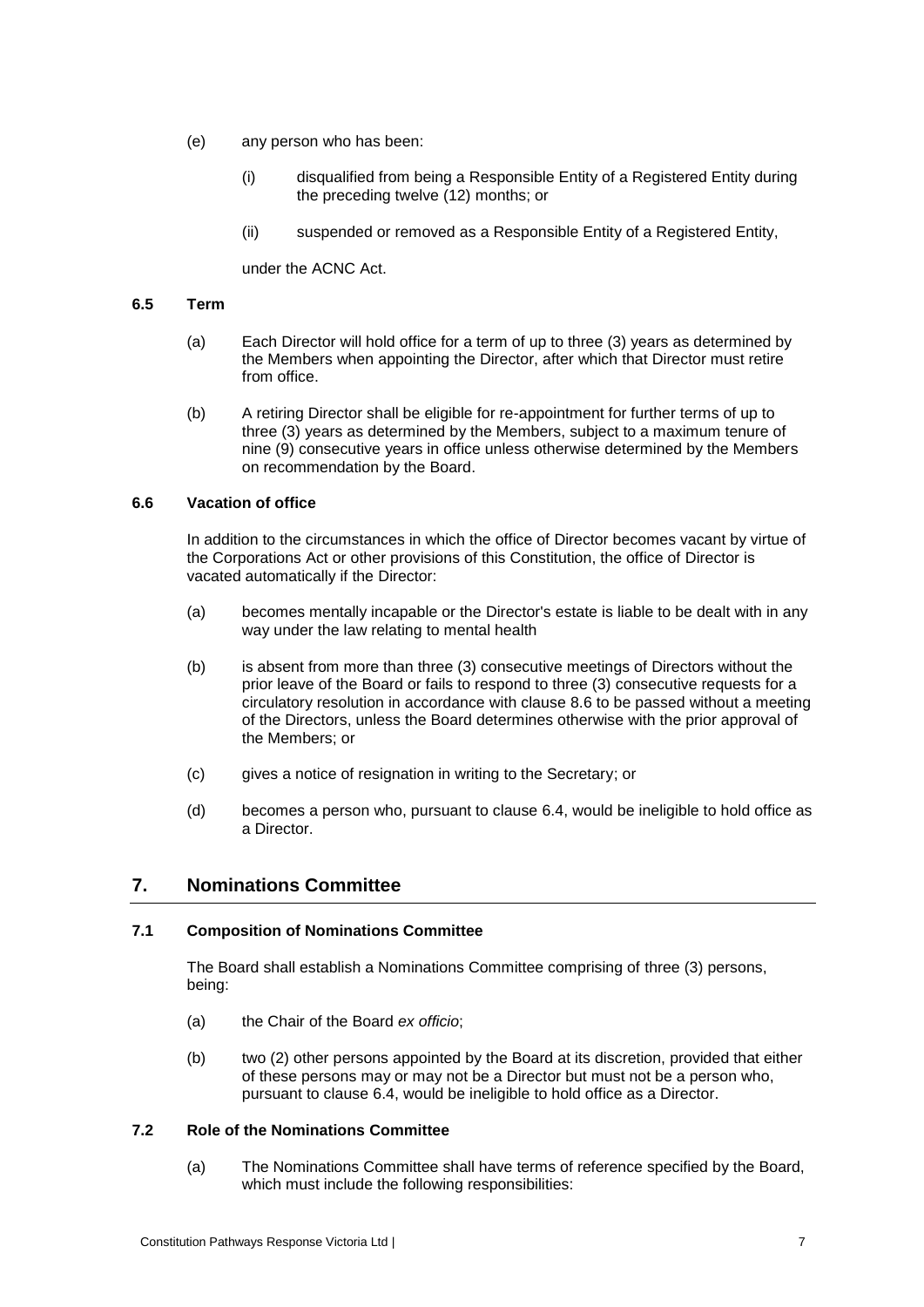- (e) any person who has been:
	- (i) disqualified from being a Responsible Entity of a Registered Entity during the preceding twelve (12) months; or
	- (ii) suspended or removed as a Responsible Entity of a Registered Entity,

under the ACNC Act.

# <span id="page-9-2"></span>**6.5 Term**

- (a) Each Director will hold office for a term of up to three (3) years as determined by the Members when appointing the Director, after which that Director must retire from office.
- (b) A retiring Director shall be eligible for re-appointment for further terms of up to three (3) years as determined by the Members, subject to a maximum tenure of nine (9) consecutive years in office unless otherwise determined by the Members on recommendation by the Board.

# **6.6 Vacation of office**

In addition to the circumstances in which the office of Director becomes vacant by virtue of the Corporations Act or other provisions of this Constitution, the office of Director is vacated automatically if the Director:

- (a) becomes mentally incapable or the Director's estate is liable to be dealt with in any way under the law relating to mental health
- <span id="page-9-0"></span>(b) is absent from more than three (3) consecutive meetings of Directors without the prior leave of the Board or fails to respond to three (3) consecutive requests for a circulatory resolution in accordance with clause [8.6](#page-11-0) to be passed without a meeting of the Directors, unless the Board determines otherwise with the prior approval of the Members; or
- (c) gives a notice of resignation in writing to the Secretary; or
- (d) becomes a person who, pursuant to clause [6.4,](#page-8-3) would be ineligible to hold office as a Director.

# <span id="page-9-1"></span>**7. Nominations Committee**

# **7.1 Composition of Nominations Committee**

The Board shall establish a Nominations Committee comprising of three (3) persons, being:

- (a) the Chair of the Board *ex officio*;
- (b) two (2) other persons appointed by the Board at its discretion, provided that either of these persons may or may not be a Director but must not be a person who, pursuant to clause [6.4,](#page-8-3) would be ineligible to hold office as a Director.

# **7.2 Role of the Nominations Committee**

(a) The Nominations Committee shall have terms of reference specified by the Board, which must include the following responsibilities: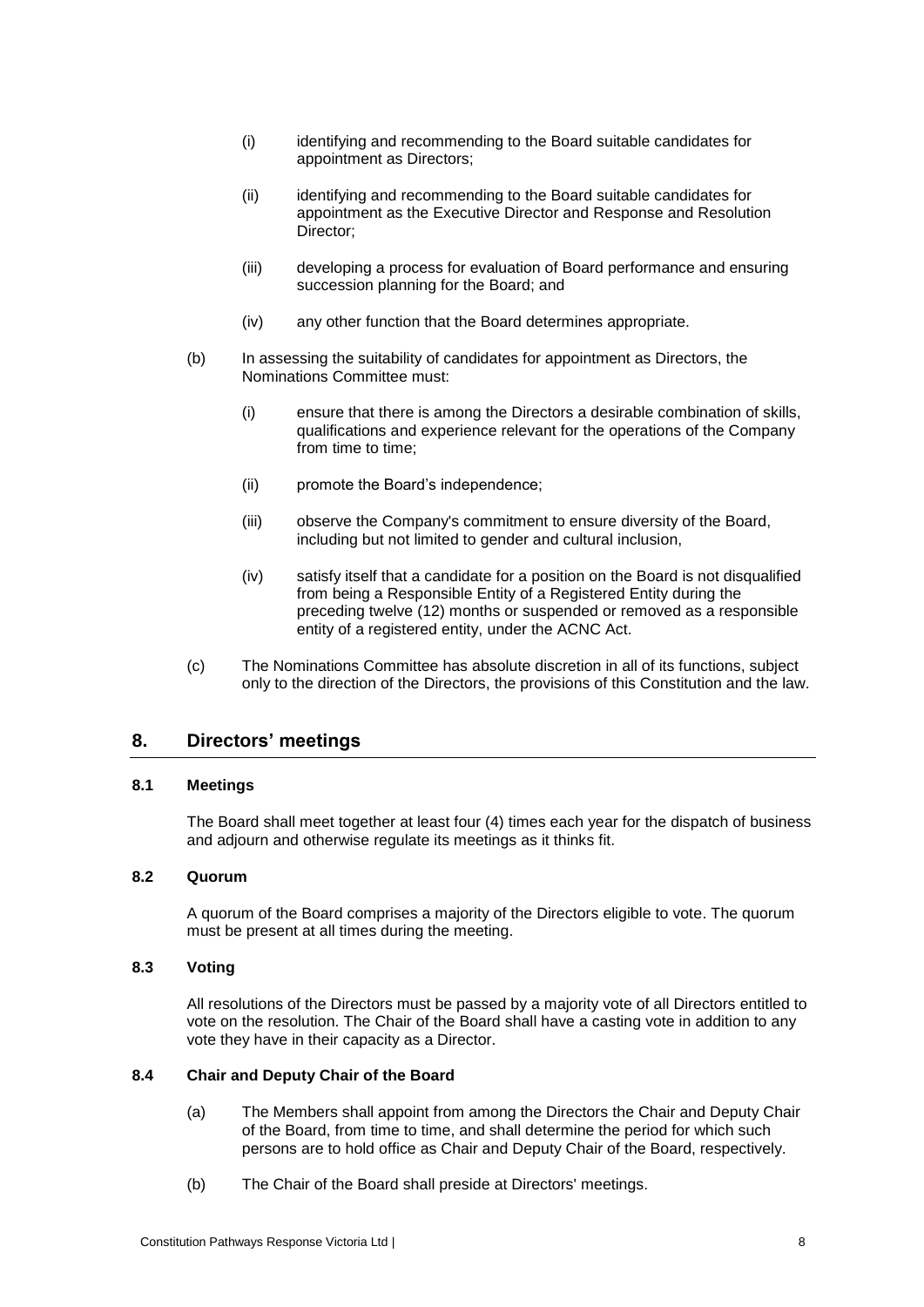- (i) identifying and recommending to the Board suitable candidates for appointment as Directors;
- (ii) identifying and recommending to the Board suitable candidates for appointment as the Executive Director and Response and Resolution Director;
- (iii) developing a process for evaluation of Board performance and ensuring succession planning for the Board; and
- (iv) any other function that the Board determines appropriate.
- (b) In assessing the suitability of candidates for appointment as Directors, the Nominations Committee must:
	- (i) ensure that there is among the Directors a desirable combination of skills, qualifications and experience relevant for the operations of the Company from time to time;
	- (ii) promote the Board's independence;
	- (iii) observe the Company's commitment to ensure diversity of the Board, including but not limited to gender and cultural inclusion,
	- (iv) satisfy itself that a candidate for a position on the Board is not disqualified from being a Responsible Entity of a Registered Entity during the preceding twelve (12) months or suspended or removed as a responsible entity of a registered entity, under the ACNC Act.
- (c) The Nominations Committee has absolute discretion in all of its functions, subject only to the direction of the Directors, the provisions of this Constitution and the law.

# **8. Directors' meetings**

# **8.1 Meetings**

The Board shall meet together at least four (4) times each year for the dispatch of business and adjourn and otherwise regulate its meetings as it thinks fit.

# **8.2 Quorum**

A quorum of the Board comprises a majority of the Directors eligible to vote. The quorum must be present at all times during the meeting.

# **8.3 Voting**

All resolutions of the Directors must be passed by a majority vote of all Directors entitled to vote on the resolution. The Chair of the Board shall have a casting vote in addition to any vote they have in their capacity as a Director.

# <span id="page-10-1"></span><span id="page-10-0"></span>**8.4 Chair and Deputy Chair of the Board**

- (a) The Members shall appoint from among the Directors the Chair and Deputy Chair of the Board, from time to time, and shall determine the period for which such persons are to hold office as Chair and Deputy Chair of the Board, respectively.
- (b) The Chair of the Board shall preside at Directors' meetings.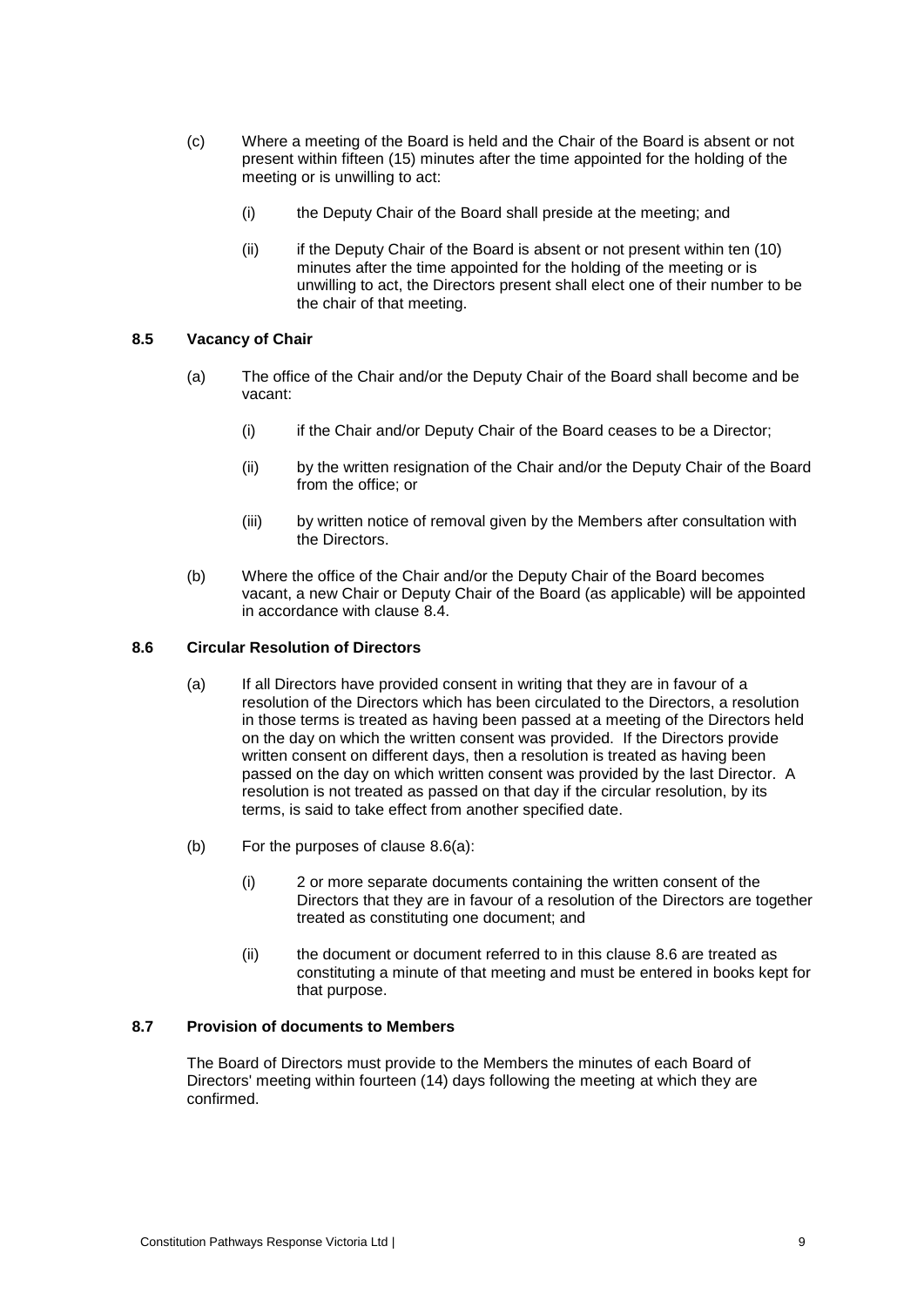- (c) Where a meeting of the Board is held and the Chair of the Board is absent or not present within fifteen (15) minutes after the time appointed for the holding of the meeting or is unwilling to act:
	- (i) the Deputy Chair of the Board shall preside at the meeting; and
	- (ii) if the Deputy Chair of the Board is absent or not present within ten (10) minutes after the time appointed for the holding of the meeting or is unwilling to act, the Directors present shall elect one of their number to be the chair of that meeting.

# **8.5 Vacancy of Chair**

- (a) The office of the Chair and/or the Deputy Chair of the Board shall become and be vacant:
	- (i) if the Chair and/or Deputy Chair of the Board ceases to be a Director;
	- (ii) by the written resignation of the Chair and/or the Deputy Chair of the Board from the office; or
	- (iii) by written notice of removal given by the Members after consultation with the Directors.
- <span id="page-11-2"></span>(b) Where the office of the Chair and/or the Deputy Chair of the Board becomes vacant, a new Chair or Deputy Chair of the Board (as applicable) will be appointed in accordance with clause [8.4.](#page-10-0)

# <span id="page-11-1"></span><span id="page-11-0"></span>**8.6 Circular Resolution of Directors**

- (a) If all Directors have provided consent in writing that they are in favour of a resolution of the Directors which has been circulated to the Directors, a resolution in those terms is treated as having been passed at a meeting of the Directors held on the day on which the written consent was provided. If the Directors provide written consent on different days, then a resolution is treated as having been passed on the day on which written consent was provided by the last Director. A resolution is not treated as passed on that day if the circular resolution, by its terms, is said to take effect from another specified date.
- (b) For the purposes of clause [8.6\(a\):](#page-11-1)
	- (i) 2 or more separate documents containing the written consent of the Directors that they are in favour of a resolution of the Directors are together treated as constituting one document; and
	- (ii) the document or document referred to in this clause [8.6](#page-11-0) are treated as constituting a minute of that meeting and must be entered in books kept for that purpose.

# <span id="page-11-3"></span>**8.7 Provision of documents to Members**

The Board of Directors must provide to the Members the minutes of each Board of Directors' meeting within fourteen (14) days following the meeting at which they are confirmed.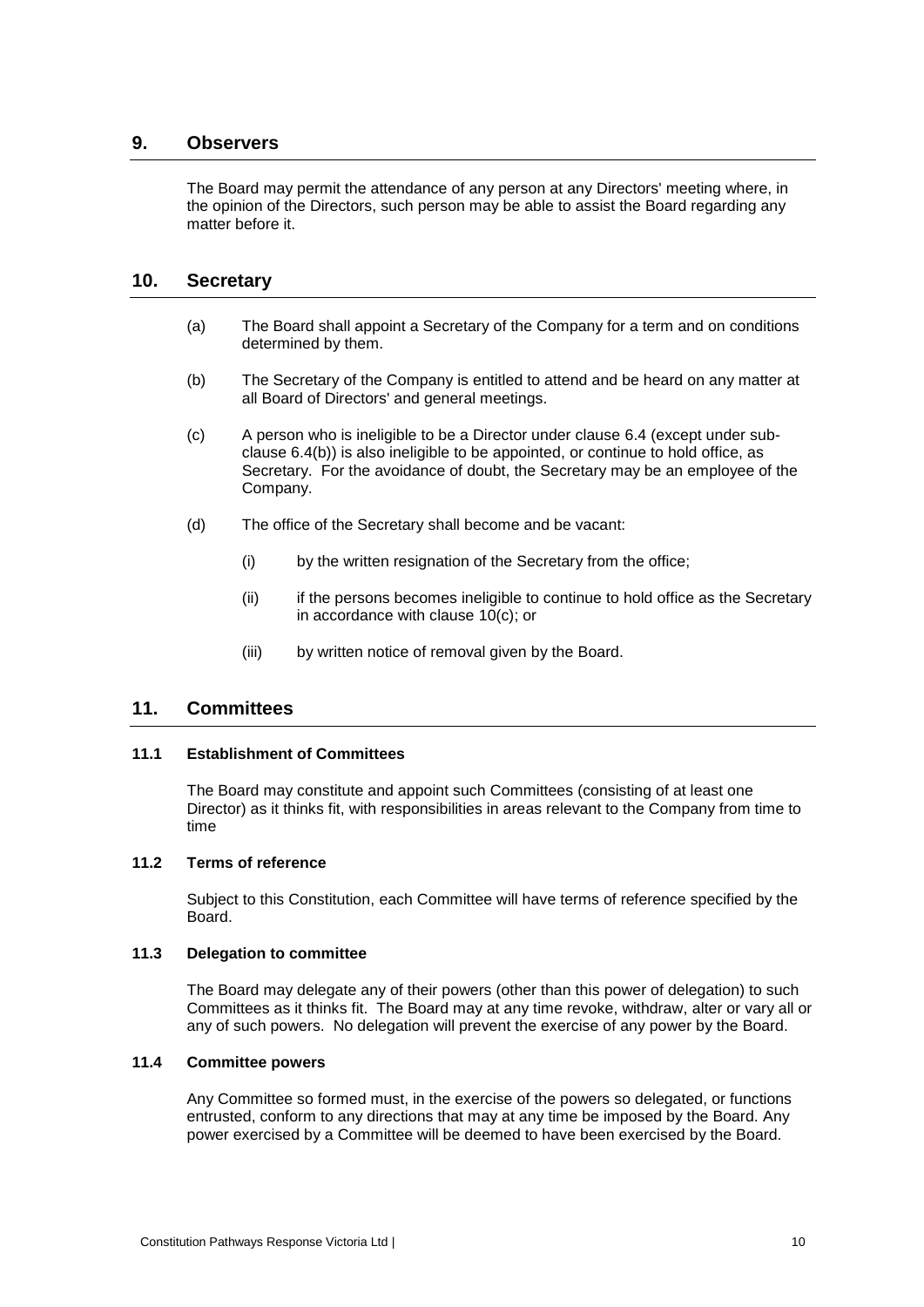# **9. Observers**

The Board may permit the attendance of any person at any Directors' meeting where, in the opinion of the Directors, such person may be able to assist the Board regarding any matter before it.

# <span id="page-12-2"></span>**10. Secretary**

- (a) The Board shall appoint a Secretary of the Company for a term and on conditions determined by them.
- (b) The Secretary of the Company is entitled to attend and be heard on any matter at all Board of Directors' and general meetings.
- <span id="page-12-0"></span>(c) A person who is ineligible to be a Director under clause [6.4](#page-8-3) (except under subclause [6.4\(b\)\)](#page-8-4) is also ineligible to be appointed, or continue to hold office, as Secretary. For the avoidance of doubt, the Secretary may be an employee of the Company.
- (d) The office of the Secretary shall become and be vacant:
	- (i) by the written resignation of the Secretary from the office;
	- (ii) if the persons becomes ineligible to continue to hold office as the Secretary in accordance with clause [10\(c\);](#page-12-0) or
	- (iii) by written notice of removal given by the Board.

# <span id="page-12-1"></span>**11. Committees**

# **11.1 Establishment of Committees**

The Board may constitute and appoint such Committees (consisting of at least one Director) as it thinks fit, with responsibilities in areas relevant to the Company from time to time

# **11.2 Terms of reference**

Subject to this Constitution, each Committee will have terms of reference specified by the Board.

# **11.3 Delegation to committee**

The Board may delegate any of their powers (other than this power of delegation) to such Committees as it thinks fit. The Board may at any time revoke, withdraw, alter or vary all or any of such powers. No delegation will prevent the exercise of any power by the Board.

# **11.4 Committee powers**

Any Committee so formed must, in the exercise of the powers so delegated, or functions entrusted, conform to any directions that may at any time be imposed by the Board. Any power exercised by a Committee will be deemed to have been exercised by the Board.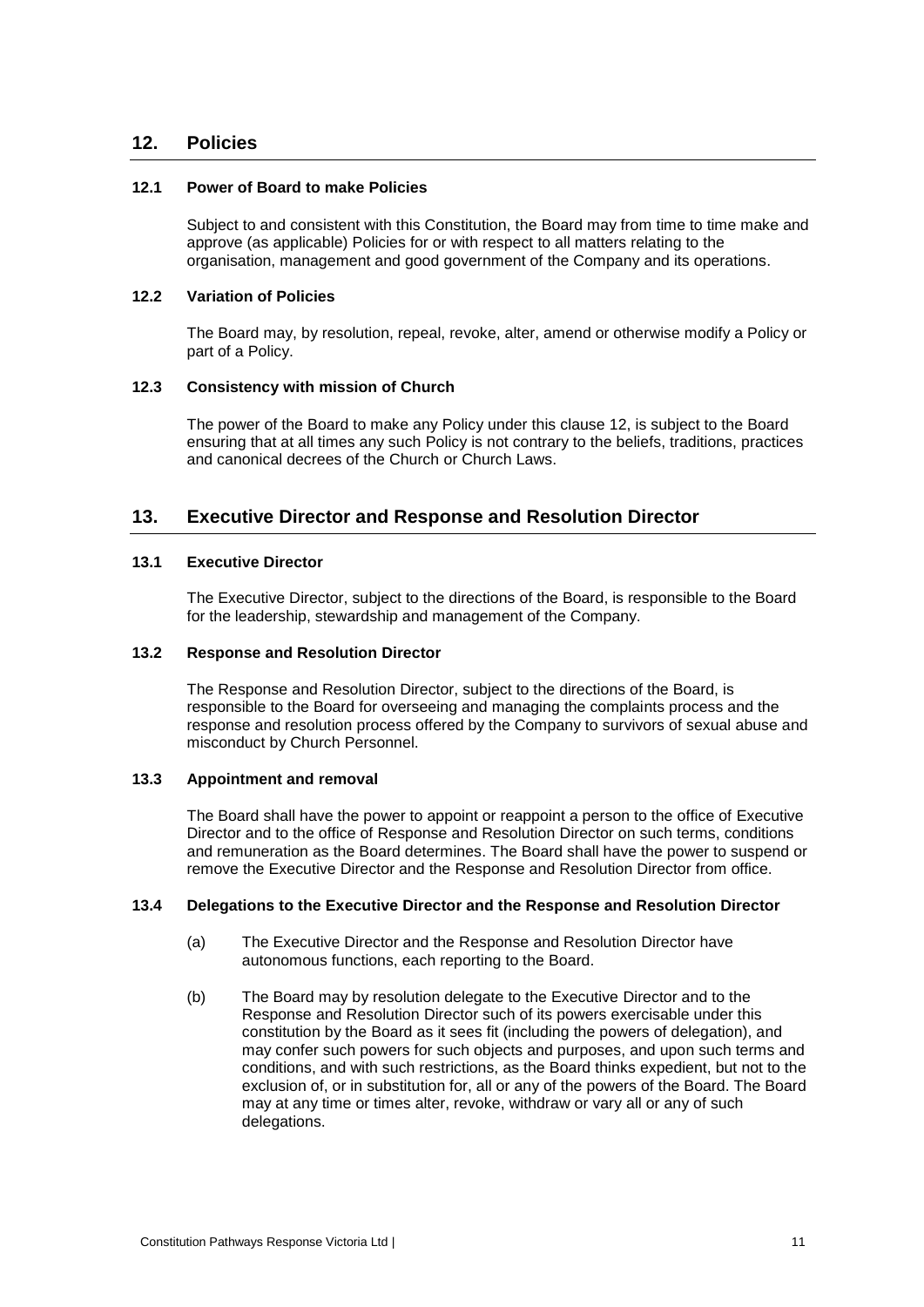# <span id="page-13-0"></span>**12. Policies**

# **12.1 Power of Board to make Policies**

Subject to and consistent with this Constitution, the Board may from time to time make and approve (as applicable) Policies for or with respect to all matters relating to the organisation, management and good government of the Company and its operations.

#### **12.2 Variation of Policies**

The Board may, by resolution, repeal, revoke, alter, amend or otherwise modify a Policy or part of a Policy.

#### **12.3 Consistency with mission of Church**

The power of the Board to make any Policy under this clause [12,](#page-13-0) is subject to the Board ensuring that at all times any such Policy is not contrary to the beliefs, traditions, practices and canonical decrees of the Church or Church Laws.

# <span id="page-13-1"></span>**13. Executive Director and Response and Resolution Director**

#### **13.1 Executive Director**

The Executive Director, subject to the directions of the Board, is responsible to the Board for the leadership, stewardship and management of the Company.

#### **13.2 Response and Resolution Director**

The Response and Resolution Director, subject to the directions of the Board, is responsible to the Board for overseeing and managing the complaints process and the response and resolution process offered by the Company to survivors of sexual abuse and misconduct by Church Personnel.

# **13.3 Appointment and removal**

The Board shall have the power to appoint or reappoint a person to the office of Executive Director and to the office of Response and Resolution Director on such terms, conditions and remuneration as the Board determines. The Board shall have the power to suspend or remove the Executive Director and the Response and Resolution Director from office.

#### **13.4 Delegations to the Executive Director and the Response and Resolution Director**

- (a) The Executive Director and the Response and Resolution Director have autonomous functions, each reporting to the Board.
- (b) The Board may by resolution delegate to the Executive Director and to the Response and Resolution Director such of its powers exercisable under this constitution by the Board as it sees fit (including the powers of delegation), and may confer such powers for such objects and purposes, and upon such terms and conditions, and with such restrictions, as the Board thinks expedient, but not to the exclusion of, or in substitution for, all or any of the powers of the Board. The Board may at any time or times alter, revoke, withdraw or vary all or any of such delegations.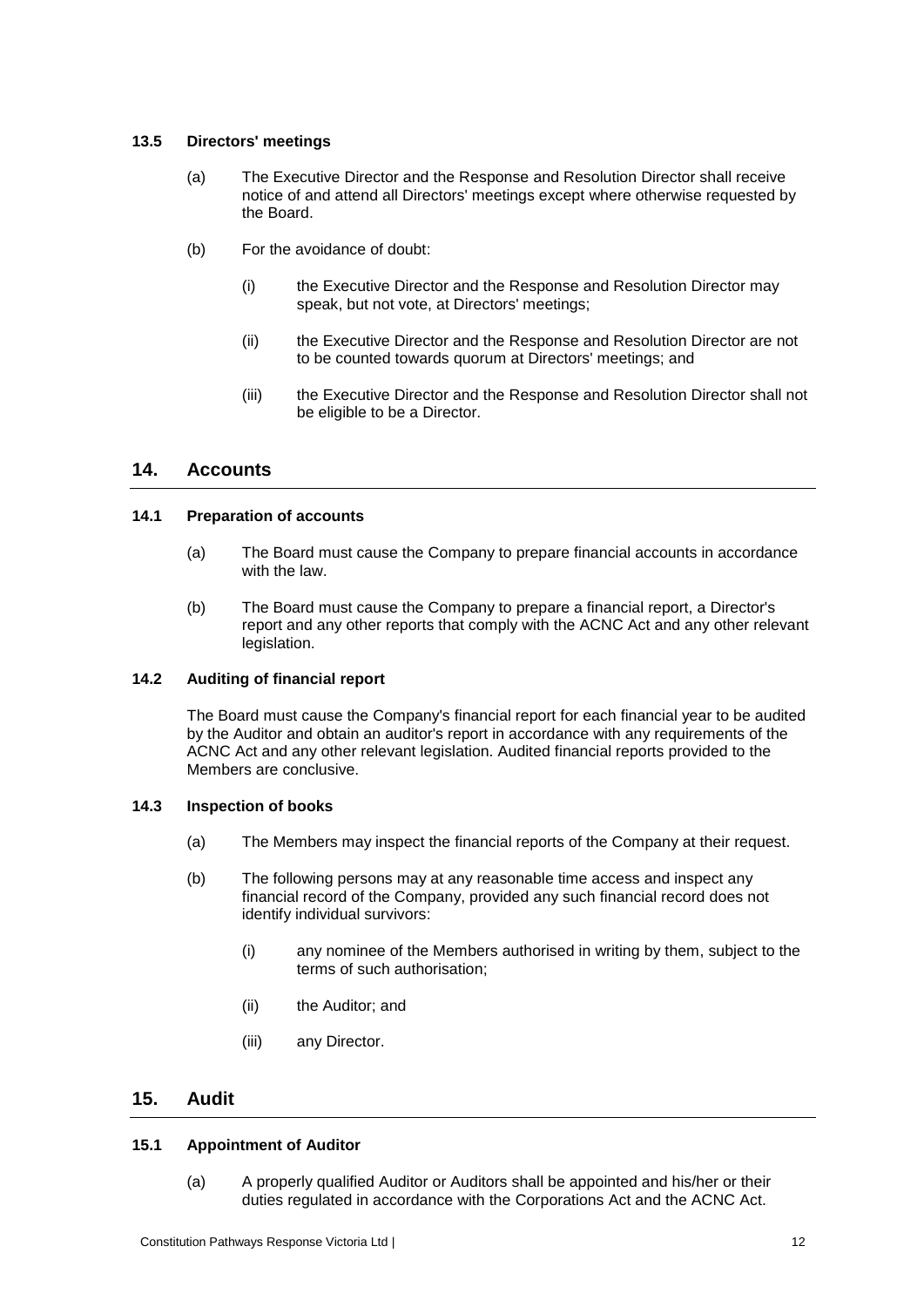# **13.5 Directors' meetings**

- (a) The Executive Director and the Response and Resolution Director shall receive notice of and attend all Directors' meetings except where otherwise requested by the Board.
- (b) For the avoidance of doubt:
	- (i) the Executive Director and the Response and Resolution Director may speak, but not vote, at Directors' meetings;
	- (ii) the Executive Director and the Response and Resolution Director are not to be counted towards quorum at Directors' meetings; and
	- (iii) the Executive Director and the Response and Resolution Director shall not be eligible to be a Director.

# **14. Accounts**

# **14.1 Preparation of accounts**

- (a) The Board must cause the Company to prepare financial accounts in accordance with the law.
- (b) The Board must cause the Company to prepare a financial report, a Director's report and any other reports that comply with the ACNC Act and any other relevant legislation.

# **14.2 Auditing of financial report**

The Board must cause the Company's financial report for each financial year to be audited by the Auditor and obtain an auditor's report in accordance with any requirements of the ACNC Act and any other relevant legislation. Audited financial reports provided to the Members are conclusive.

# <span id="page-14-0"></span>**14.3 Inspection of books**

- (a) The Members may inspect the financial reports of the Company at their request.
- <span id="page-14-1"></span>(b) The following persons may at any reasonable time access and inspect any financial record of the Company, provided any such financial record does not identify individual survivors:
	- (i) any nominee of the Members authorised in writing by them, subject to the terms of such authorisation;
	- (ii) the Auditor; and
	- (iii) any Director.

# **15. Audit**

# **15.1 Appointment of Auditor**

(a) A properly qualified Auditor or Auditors shall be appointed and his/her or their duties regulated in accordance with the Corporations Act and the ACNC Act.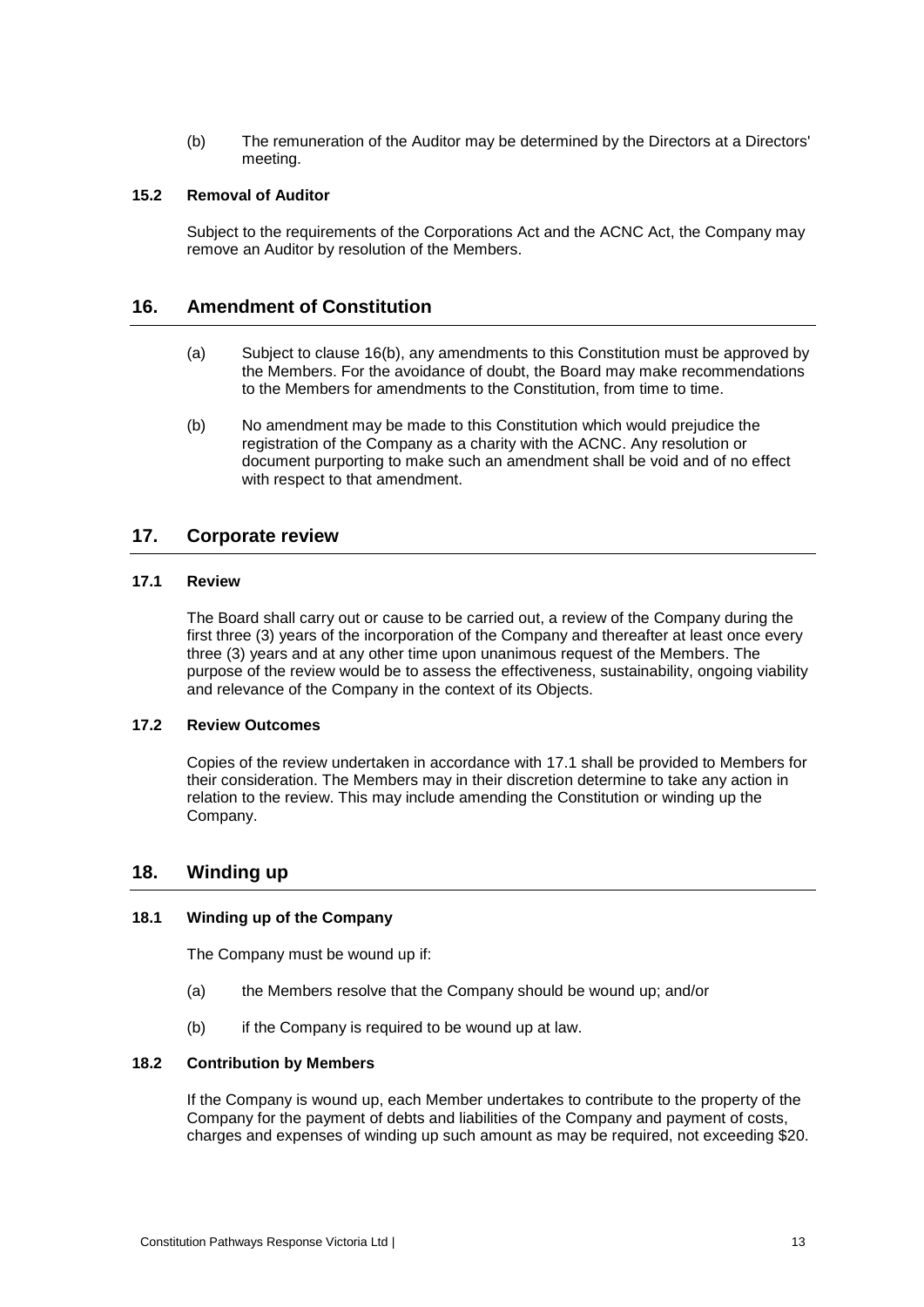(b) The remuneration of the Auditor may be determined by the Directors at a Directors' meeting.

# **15.2 Removal of Auditor**

Subject to the requirements of the Corporations Act and the ACNC Act, the Company may remove an Auditor by resolution of the Members.

# <span id="page-15-2"></span>**16. Amendment of Constitution**

- (a) Subject to clause [16\(b\),](#page-15-0) any amendments to this Constitution must be approved by the Members. For the avoidance of doubt, the Board may make recommendations to the Members for amendments to the Constitution, from time to time.
- <span id="page-15-0"></span>(b) No amendment may be made to this Constitution which would prejudice the registration of the Company as a charity with the ACNC. Any resolution or document purporting to make such an amendment shall be void and of no effect with respect to that amendment.

# **17. Corporate review**

# <span id="page-15-1"></span>**17.1 Review**

The Board shall carry out or cause to be carried out, a review of the Company during the first three (3) years of the incorporation of the Company and thereafter at least once every three (3) years and at any other time upon unanimous request of the Members. The purpose of the review would be to assess the effectiveness, sustainability, ongoing viability and relevance of the Company in the context of its Objects.

# **17.2 Review Outcomes**

Copies of the review undertaken in accordance with [17.1](#page-15-1) shall be provided to Members for their consideration. The Members may in their discretion determine to take any action in relation to the review. This may include amending the Constitution or winding up the Company.

# **18. Winding up**

# **18.1 Winding up of the Company**

The Company must be wound up if:

- (a) the Members resolve that the Company should be wound up; and/or
- (b) if the Company is required to be wound up at law.

# **18.2 Contribution by Members**

If the Company is wound up, each Member undertakes to contribute to the property of the Company for the payment of debts and liabilities of the Company and payment of costs, charges and expenses of winding up such amount as may be required, not exceeding \$20.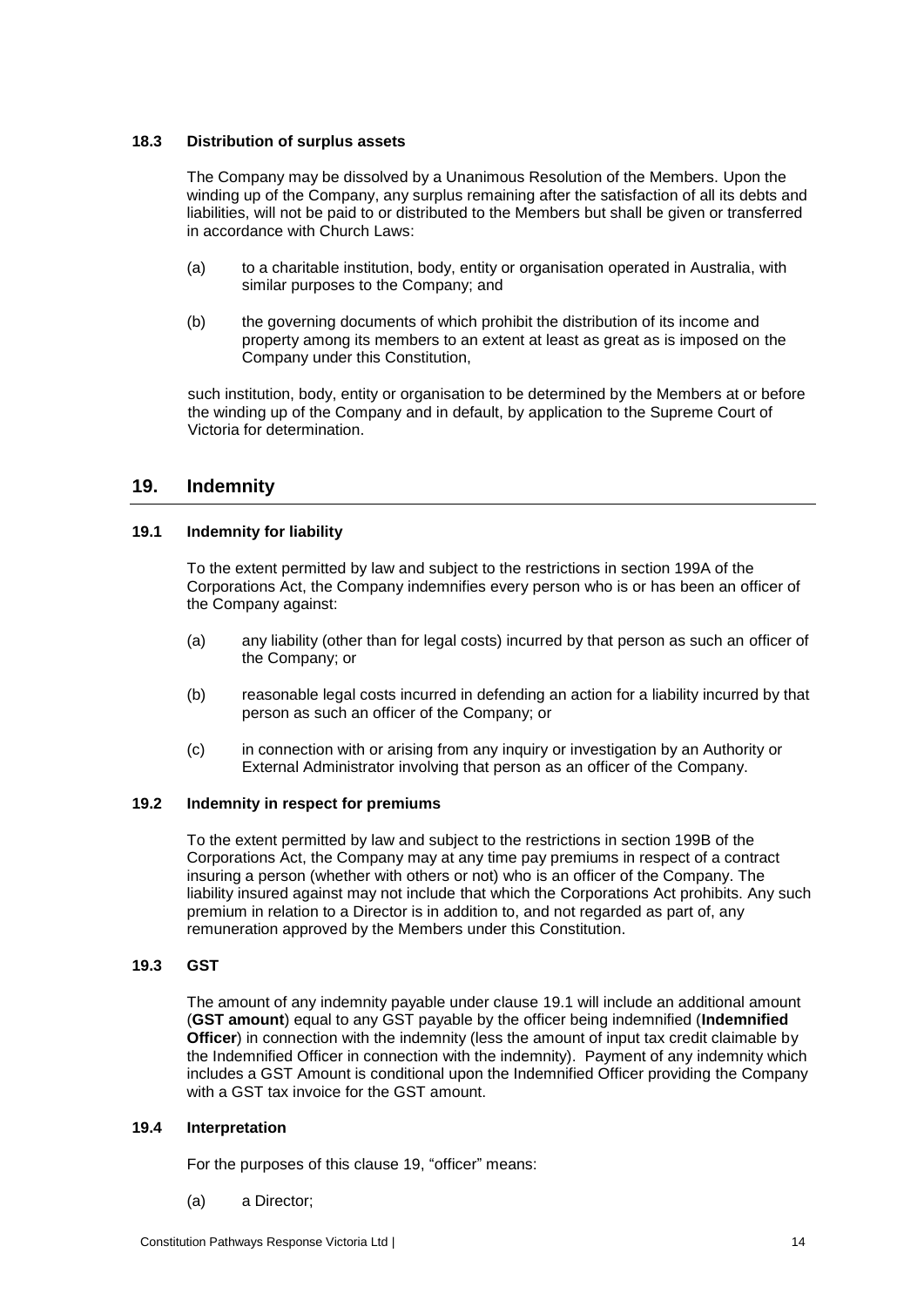# <span id="page-16-2"></span>**18.3 Distribution of surplus assets**

The Company may be dissolved by a Unanimous Resolution of the Members. Upon the winding up of the Company, any surplus remaining after the satisfaction of all its debts and liabilities, will not be paid to or distributed to the Members but shall be given or transferred in accordance with Church Laws:

- (a) to a charitable institution, body, entity or organisation operated in Australia, with similar purposes to the Company; and
- (b) the governing documents of which prohibit the distribution of its income and property among its members to an extent at least as great as is imposed on the Company under this Constitution,

such institution, body, entity or organisation to be determined by the Members at or before the winding up of the Company and in default, by application to the Supreme Court of Victoria for determination.

# <span id="page-16-0"></span>**19. Indemnity**

# <span id="page-16-1"></span>**19.1 Indemnity for liability**

To the extent permitted by law and subject to the restrictions in section 199A of the Corporations Act, the Company indemnifies every person who is or has been an officer of the Company against:

- (a) any liability (other than for legal costs) incurred by that person as such an officer of the Company; or
- (b) reasonable legal costs incurred in defending an action for a liability incurred by that person as such an officer of the Company; or
- (c) in connection with or arising from any inquiry or investigation by an Authority or External Administrator involving that person as an officer of the Company.

# **19.2 Indemnity in respect for premiums**

To the extent permitted by law and subject to the restrictions in section 199B of the Corporations Act, the Company may at any time pay premiums in respect of a contract insuring a person (whether with others or not) who is an officer of the Company. The liability insured against may not include that which the Corporations Act prohibits. Any such premium in relation to a Director is in addition to, and not regarded as part of, any remuneration approved by the Members under this Constitution.

# **19.3 GST**

The amount of any indemnity payable under clause [19.1](#page-16-1) will include an additional amount (**GST amount**) equal to any GST payable by the officer being indemnified (**Indemnified Officer**) in connection with the indemnity (less the amount of input tax credit claimable by the Indemnified Officer in connection with the indemnity). Payment of any indemnity which includes a GST Amount is conditional upon the Indemnified Officer providing the Company with a GST tax invoice for the GST amount.

# **19.4 Interpretation**

For the purposes of this clause [19,](#page-16-0) "officer" means:

(a) a Director;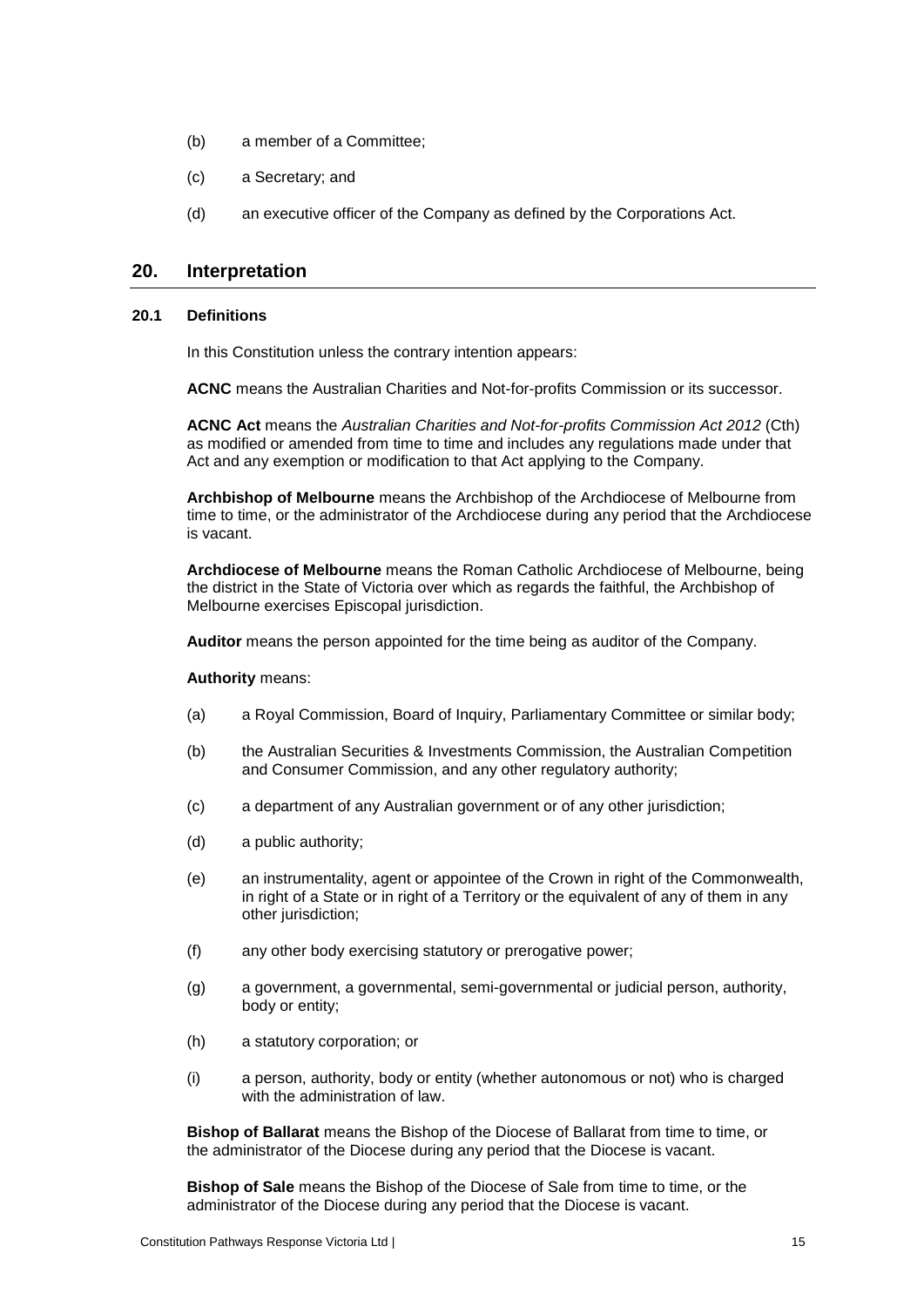- (b) a member of a Committee;
- (c) a Secretary; and
- (d) an executive officer of the Company as defined by the Corporations Act.

# **20. Interpretation**

# **20.1 Definitions**

In this Constitution unless the contrary intention appears:

**ACNC** means the Australian Charities and Not-for-profits Commission or its successor.

**ACNC Act** means the *Australian Charities and Not-for-profits Commission Act 2012* (Cth) as modified or amended from time to time and includes any regulations made under that Act and any exemption or modification to that Act applying to the Company.

**Archbishop of Melbourne** means the Archbishop of the Archdiocese of Melbourne from time to time, or the administrator of the Archdiocese during any period that the Archdiocese is vacant.

**Archdiocese of Melbourne** means the Roman Catholic Archdiocese of Melbourne, being the district in the State of Victoria over which as regards the faithful, the Archbishop of Melbourne exercises Episcopal jurisdiction.

**Auditor** means the person appointed for the time being as auditor of the Company.

#### **Authority** means:

- (a) a Royal Commission, Board of Inquiry, Parliamentary Committee or similar body;
- (b) the Australian Securities & Investments Commission, the Australian Competition and Consumer Commission, and any other regulatory authority;
- (c) a department of any Australian government or of any other jurisdiction;
- (d) a public authority;
- (e) an instrumentality, agent or appointee of the Crown in right of the Commonwealth, in right of a State or in right of a Territory or the equivalent of any of them in any other jurisdiction:
- (f) any other body exercising statutory or prerogative power;
- (g) a government, a governmental, semi-governmental or judicial person, authority, body or entity;
- (h) a statutory corporation; or
- (i) a person, authority, body or entity (whether autonomous or not) who is charged with the administration of law.

**Bishop of Ballarat** means the Bishop of the Diocese of Ballarat from time to time, or the administrator of the Diocese during any period that the Diocese is vacant.

**Bishop of Sale** means the Bishop of the Diocese of Sale from time to time, or the administrator of the Diocese during any period that the Diocese is vacant.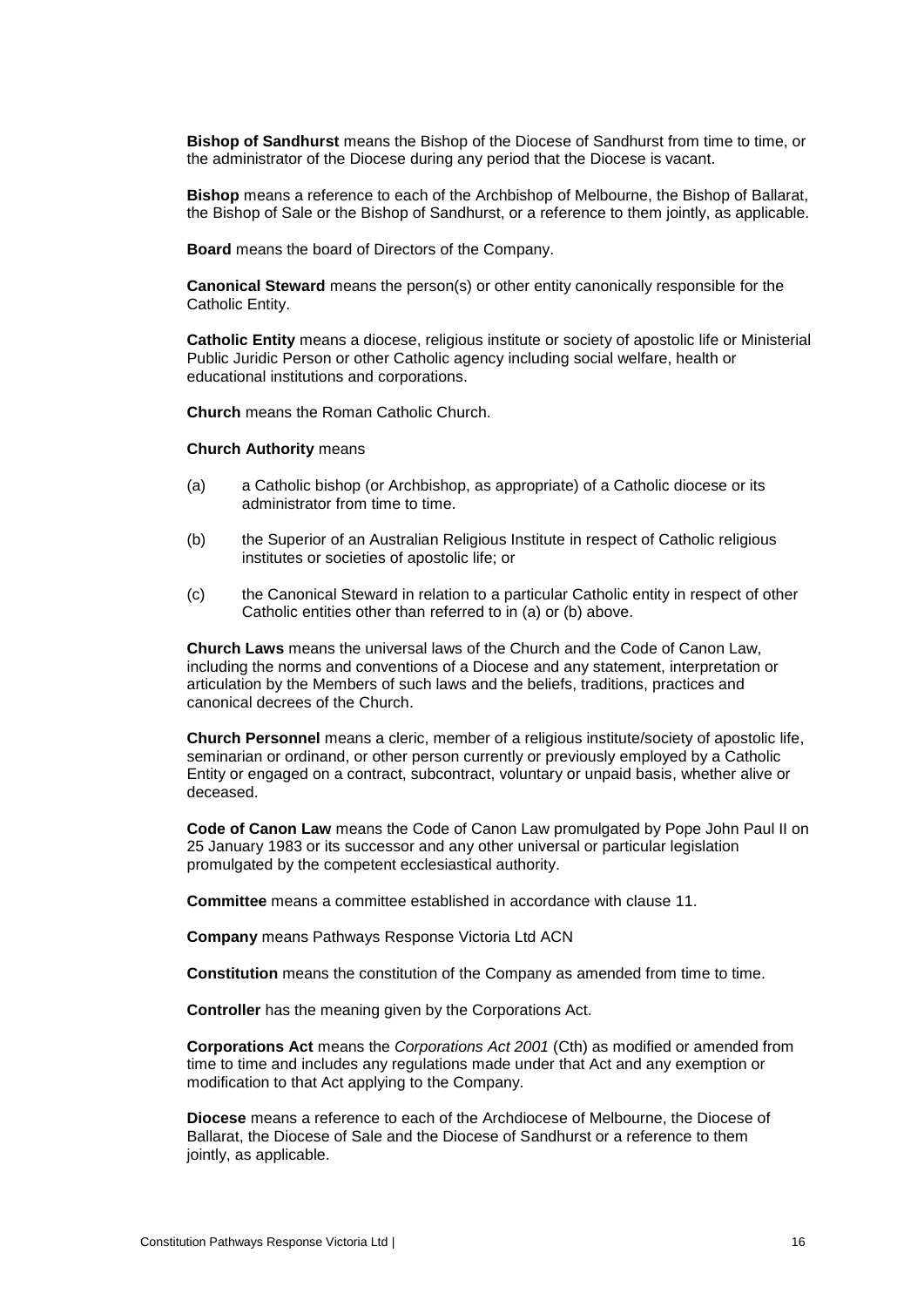**Bishop of Sandhurst** means the Bishop of the Diocese of Sandhurst from time to time, or the administrator of the Diocese during any period that the Diocese is vacant.

**Bishop** means a reference to each of the Archbishop of Melbourne, the Bishop of Ballarat, the Bishop of Sale or the Bishop of Sandhurst, or a reference to them jointly, as applicable.

**Board** means the board of Directors of the Company.

**Canonical Steward** means the person(s) or other entity canonically responsible for the Catholic Entity.

**Catholic Entity** means a diocese, religious institute or society of apostolic life or Ministerial Public Juridic Person or other Catholic agency including social welfare, health or educational institutions and corporations.

**Church** means the Roman Catholic Church.

#### **Church Authority** means

- (a) a Catholic bishop (or Archbishop, as appropriate) of a Catholic diocese or its administrator from time to time.
- (b) the Superior of an Australian Religious Institute in respect of Catholic religious institutes or societies of apostolic life; or
- (c) the Canonical Steward in relation to a particular Catholic entity in respect of other Catholic entities other than referred to in (a) or (b) above.

**Church Laws** means the universal laws of the Church and the Code of Canon Law, including the norms and conventions of a Diocese and any statement, interpretation or articulation by the Members of such laws and the beliefs, traditions, practices and canonical decrees of the Church.

**Church Personnel** means a cleric, member of a religious institute/society of apostolic life, seminarian or ordinand, or other person currently or previously employed by a Catholic Entity or engaged on a contract, subcontract, voluntary or unpaid basis, whether alive or deceased.

**Code of Canon Law** means the Code of Canon Law promulgated by Pope John Paul II on 25 January 1983 or its successor and any other universal or particular legislation promulgated by the competent ecclesiastical authority.

**Committee** means a committee established in accordance with clause [11.](#page-12-1)

**Company** means Pathways Response Victoria Ltd ACN

**Constitution** means the constitution of the Company as amended from time to time.

**Controller** has the meaning given by the Corporations Act.

**Corporations Act** means the *Corporations Act 2001* (Cth) as modified or amended from time to time and includes any regulations made under that Act and any exemption or modification to that Act applying to the Company.

**Diocese** means a reference to each of the Archdiocese of Melbourne, the Diocese of Ballarat, the Diocese of Sale and the Diocese of Sandhurst or a reference to them jointly, as applicable.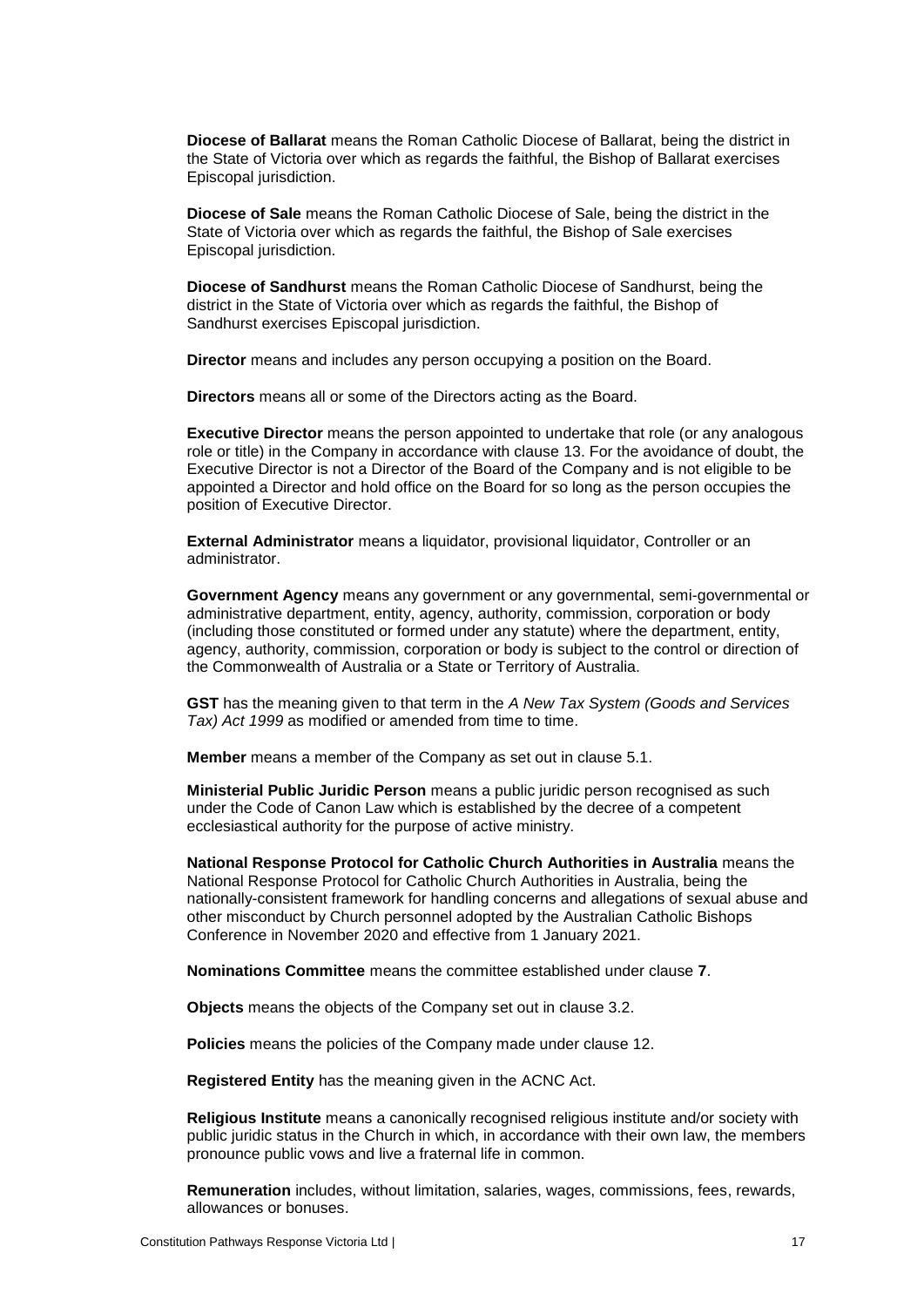**Diocese of Ballarat** means the Roman Catholic Diocese of Ballarat, being the district in the State of Victoria over which as regards the faithful, the Bishop of Ballarat exercises Episcopal jurisdiction.

**Diocese of Sale** means the Roman Catholic Diocese of Sale, being the district in the State of Victoria over which as regards the faithful, the Bishop of Sale exercises Episcopal jurisdiction.

**Diocese of Sandhurst** means the Roman Catholic Diocese of Sandhurst, being the district in the State of Victoria over which as regards the faithful, the Bishop of Sandhurst exercises Episcopal jurisdiction.

**Director** means and includes any person occupying a position on the Board.

**Directors** means all or some of the Directors acting as the Board.

**Executive Director** means the person appointed to undertake that role (or any analogous role or title) in the Company in accordance with clause [13.](#page-13-1) For the avoidance of doubt, the Executive Director is not a Director of the Board of the Company and is not eligible to be appointed a Director and hold office on the Board for so long as the person occupies the position of Executive Director.

**External Administrator** means a liquidator, provisional liquidator, Controller or an administrator.

**Government Agency** means any government or any governmental, semi-governmental or administrative department, entity, agency, authority, commission, corporation or body (including those constituted or formed under any statute) where the department, entity, agency, authority, commission, corporation or body is subject to the control or direction of the Commonwealth of Australia or a State or Territory of Australia.

**GST** has the meaning given to that term in the *A New Tax System (Goods and Services Tax) Act 1999* as modified or amended from time to time.

**Member** means a member of the Company as set out in clause [5.1.](#page-5-2)

**Ministerial Public Juridic Person** means a public juridic person recognised as such under the Code of Canon Law which is established by the decree of a competent ecclesiastical authority for the purpose of active ministry.

**National Response Protocol for Catholic Church Authorities in Australia** means the National Response Protocol for Catholic Church Authorities in Australia, being the nationally-consistent framework for handling concerns and allegations of sexual abuse and other misconduct by Church personnel adopted by the Australian Catholic Bishops Conference in November 2020 and effective from 1 January 2021.

**Nominations Committee** means the committee established under clause **[7](#page-9-1)**.

**Objects** means the objects of the Company set out in clause [3.2.](#page-4-0)

**Policies** means the policies of the Company made under clause [12.](#page-13-0)

**Registered Entity** has the meaning given in the ACNC Act.

**Religious Institute** means a canonically recognised religious institute and/or society with public juridic status in the Church in which, in accordance with their own law, the members pronounce public vows and live a fraternal life in common.

**Remuneration** includes, without limitation, salaries, wages, commissions, fees, rewards, allowances or bonuses.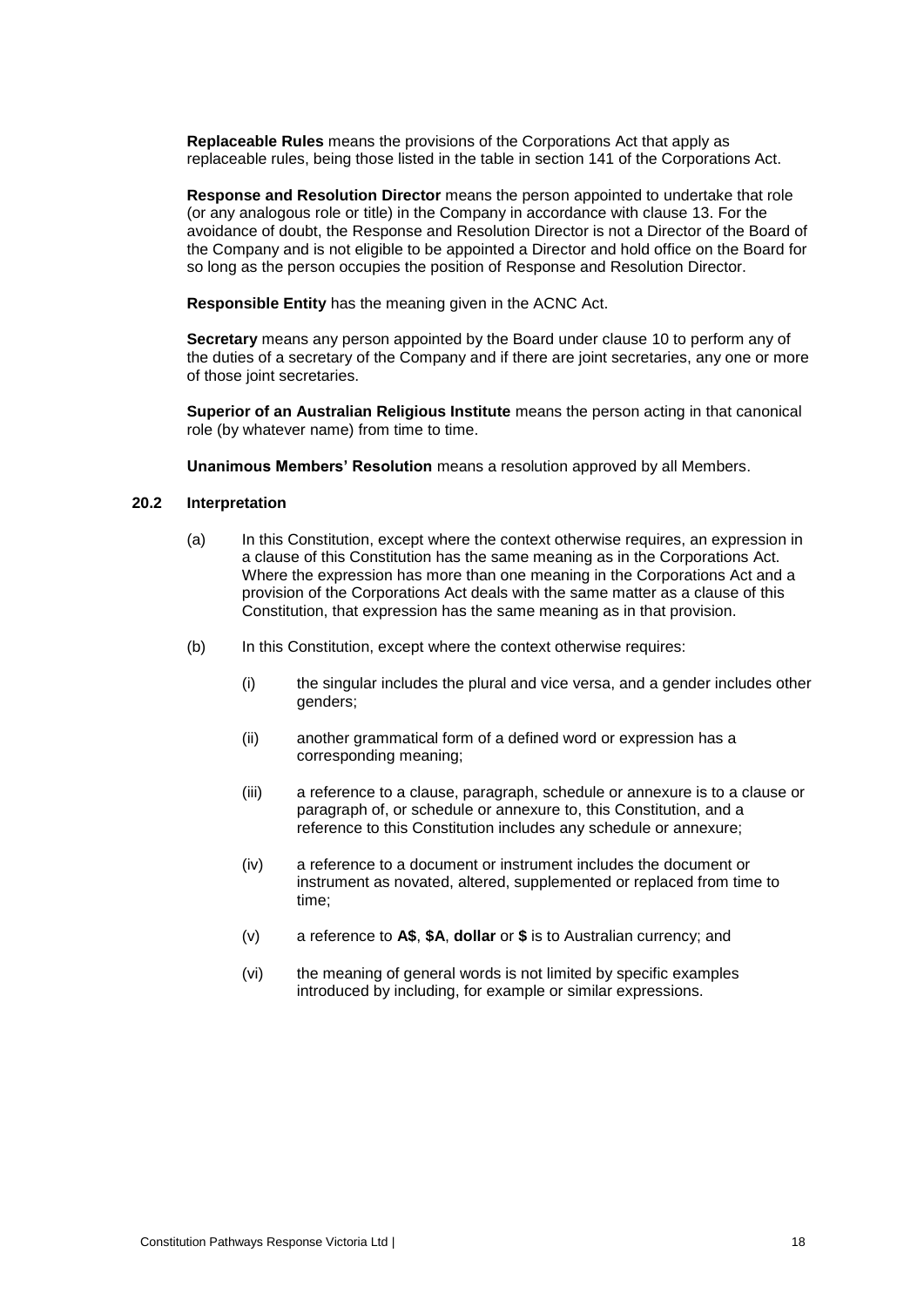**Replaceable Rules** means the provisions of the Corporations Act that apply as replaceable rules, being those listed in the table in section 141 of the Corporations Act.

**Response and Resolution Director** means the person appointed to undertake that role (or any analogous role or title) in the Company in accordance with clause [13.](#page-13-1) For the avoidance of doubt, the Response and Resolution Director is not a Director of the Board of the Company and is not eligible to be appointed a Director and hold office on the Board for so long as the person occupies the position of Response and Resolution Director.

**Responsible Entity** has the meaning given in the ACNC Act.

**Secretary** means any person appointed by the Board under clause [10](#page-12-2) to perform any of the duties of a secretary of the Company and if there are joint secretaries, any one or more of those joint secretaries.

**Superior of an Australian Religious Institute** means the person acting in that canonical role (by whatever name) from time to time.

**Unanimous Members' Resolution** means a resolution approved by all Members.

# **20.2 Interpretation**

- (a) In this Constitution, except where the context otherwise requires, an expression in a clause of this Constitution has the same meaning as in the Corporations Act. Where the expression has more than one meaning in the Corporations Act and a provision of the Corporations Act deals with the same matter as a clause of this Constitution, that expression has the same meaning as in that provision.
- (b) In this Constitution, except where the context otherwise requires:
	- (i) the singular includes the plural and vice versa, and a gender includes other genders;
	- (ii) another grammatical form of a defined word or expression has a corresponding meaning;
	- (iii) a reference to a clause, paragraph, schedule or annexure is to a clause or paragraph of, or schedule or annexure to, this Constitution, and a reference to this Constitution includes any schedule or annexure;
	- (iv) a reference to a document or instrument includes the document or instrument as novated, altered, supplemented or replaced from time to time;
	- (v) a reference to **A\$**, **\$A**, **dollar** or **\$** is to Australian currency; and
	- (vi) the meaning of general words is not limited by specific examples introduced by including, for example or similar expressions.